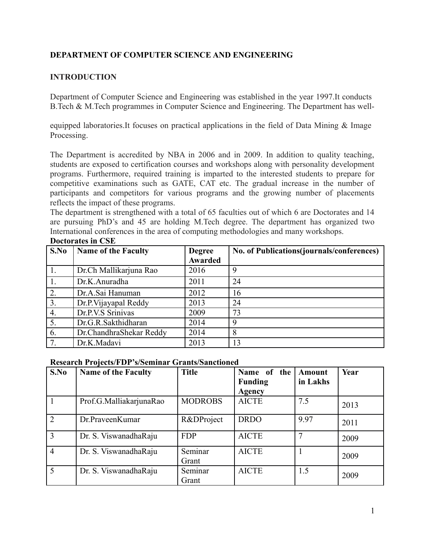## **DEPARTMENT OF COMPUTER SCIENCE AND ENGINEERING**

### **INTRODUCTION**

Department of Computer Science and Engineering was established in the year 1997.It conducts B.Tech & M.Tech programmes in Computer Science and Engineering. The Department has well-

equipped laboratories.It focuses on practical applications in the field of Data Mining & Image Processing.

The Department is accredited by NBA in 2006 and in 2009. In addition to quality teaching, students are exposed to certification courses and workshops along with personality development programs. Furthermore, required training is imparted to the interested students to prepare for competitive examinations such as GATE, CAT etc. The gradual increase in the number of participants and competitors for various programs and the growing number of placements reflects the impact of these programs.

The department is strengthened with a total of 65 faculties out of which 6 are Doctorates and 14 are pursuing PhD's and 45 are holding M.Tech degree. The department has organized two International conferences in the area of computing methodologies and many workshops.

| S.No | <b>Name of the Faculty</b> | <b>Degree</b> | No. of Publications (journals/conferences) |
|------|----------------------------|---------------|--------------------------------------------|
|      |                            | Awarded       |                                            |
|      | Dr.Ch Mallikarjuna Rao     | 2016          | Q                                          |
| 1.   | Dr.K.Anuradha              | 2011          | 24                                         |
| 2.   | Dr.A.Sai Hanuman           | 2012          | 16                                         |
| 3.   | Dr.P. Vijayapal Reddy      | 2013          | 24                                         |
| 4.   | Dr.P.V.S Srinivas          | 2009          | 73                                         |
| 5.   | Dr.G.R.Sakthidharan        | 2014          |                                            |
| 6.   | Dr.ChandhraShekar Reddy    | 2014          | 8                                          |
| 7.   | Dr.K.Madavi                | 2013          | 13                                         |

#### **Doctorates in CSE**

#### **Research Projects/FDP's/Seminar Grants/Sanctioned**

| S.No           | <b>Name of the Faculty</b> | <b>Title</b>   | Name of the    | Amount   | Year |
|----------------|----------------------------|----------------|----------------|----------|------|
|                |                            |                | <b>Funding</b> | in Lakhs |      |
|                |                            |                | Agency         |          |      |
|                | Prof.G.MalliakarjunaRao    | <b>MODROBS</b> | <b>AICTE</b>   | 7.5      | 2013 |
| $\overline{2}$ | Dr.PraveenKumar            | R&DProject     | <b>DRDO</b>    | 9.97     | 2011 |
| 3              | Dr. S. ViswanadhaRaju      | <b>FDP</b>     | <b>AICTE</b>   |          | 2009 |
| $\overline{4}$ | Dr. S. ViswanadhaRaju      | Seminar        | <b>AICTE</b>   |          | 2009 |
|                |                            | Grant          |                |          |      |
| 5              | Dr. S. ViswanadhaRaju      | Seminar        | <b>AICTE</b>   | 1.5      | 2009 |
|                |                            | Grant          |                |          |      |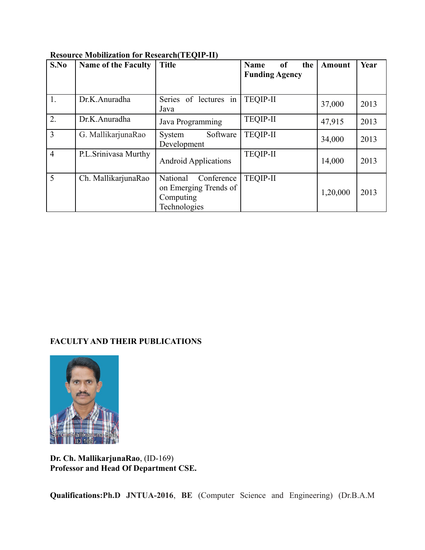| S.No           | <b>Name of the Faculty</b> | <b>Title</b>                                                                 | of<br>Name<br>the<br><b>Funding Agency</b> | <b>Amount</b> | Year |
|----------------|----------------------------|------------------------------------------------------------------------------|--------------------------------------------|---------------|------|
| 1.             | Dr.K.Anuradha              | Series of lectures in<br>Java                                                | <b>TEQIP-II</b>                            | 37,000        | 2013 |
| 2.             | Dr.K.Anuradha              | Java Programming                                                             | <b>TEQIP-II</b>                            | 47,915        | 2013 |
| 3              | G. MallikarjunaRao         | Software<br>System<br>Development                                            | <b>TEQIP-II</b>                            | 34,000        | 2013 |
| $\overline{4}$ | P.L.Srinivasa Murthy       | <b>Android Applications</b>                                                  | <b>TEQIP-II</b>                            | 14,000        | 2013 |
| 5              | Ch. MallikarjunaRao        | Conference<br>National<br>on Emerging Trends of<br>Computing<br>Technologies | <b>TEQIP-II</b>                            | 1,20,000      | 2013 |

#### **Resource Mobilization for Research(TEQIP-II)**

# **FACULTY AND THEIR PUBLICATIONS**



**Dr. Ch. MallikarjunaRao**, (ID-169) **Professor and Head Of Department CSE.** 

**Qualifications:Ph.D JNTUA-2016**, **BE** (Computer Science and Engineering) (Dr.B.A.M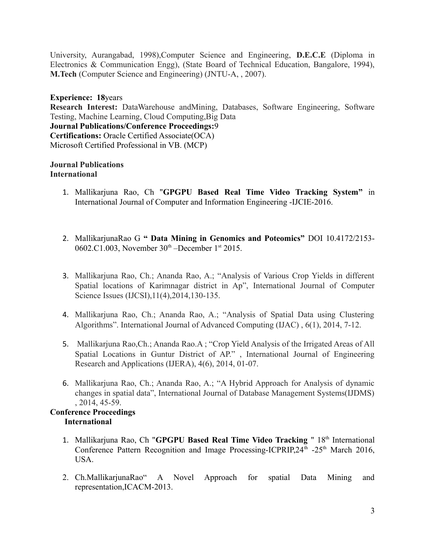University, Aurangabad, 1998),Computer Science and Engineering, **D.E.C.E** (Diploma in Electronics & Communication Engg), (State Board of Technical Education, Bangalore, 1994), **M.Tech** (Computer Science and Engineering) (JNTU-A, , 2007).

**Experience: 18**years

**Research Interest:** DataWarehouse andMining, Databases, Software Engineering, Software Testing, Machine Learning, Cloud Computing,Big Data

**Journal Publications/Conference Proceedings:**9

**Certifications:** Oracle Certified Associate(OCA) Microsoft Certified Professional in VB. (MCP)

#### **Journal Publications International**

- 1. Mallikarjuna Rao, Ch "**GPGPU Based Real Time Video Tracking System"** in International Journal of Computer and Information Engineering -IJCIE-2016.
- 2. MallikarjunaRao G **" Data Mining in Genomics and Poteomics"** DOI 10.4172/2153- 0602.C1.003, November 30<sup>th</sup> –December 1<sup>st</sup> 2015.
- 3. Mallikarjuna Rao, Ch.; Ananda Rao, A.; "Analysis of Various Crop Yields in different Spatial locations of Karimnagar district in Ap", International Journal of Computer Science Issues (IJCSI),11(4),2014,130-135.
- 4. Mallikarjuna Rao, Ch.; Ananda Rao, A.; "Analysis of Spatial Data using Clustering Algorithms". International Journal of Advanced Computing (IJAC) , 6(1), 2014, 7-12.
- 5. Mallikarjuna Rao,Ch.; Ananda Rao.A ; "Crop Yield Analysis of the Irrigated Areas of All Spatial Locations in Guntur District of AP." , International Journal of Engineering Research and Applications (IJERA), 4(6), 2014, 01-07.
- 6. Mallikarjuna Rao, Ch.; Ananda Rao, A.; "A Hybrid Approach for Analysis of dynamic changes in spatial data", International Journal of Database Management Systems(IJDMS) , 2014, 45-59.

#### **Conference Proceedings International**

- 1. Mallikarjuna Rao, Ch "GPGPU Based Real Time Video Tracking " 18th International Conference Pattern Recognition and Image Processing-ICPRIP,  $24<sup>th</sup>$  -25<sup>th</sup> March 2016, USA.
- 2. Ch.MallikarjunaRao" A Novel Approach for spatial Data Mining and representation,ICACM-2013.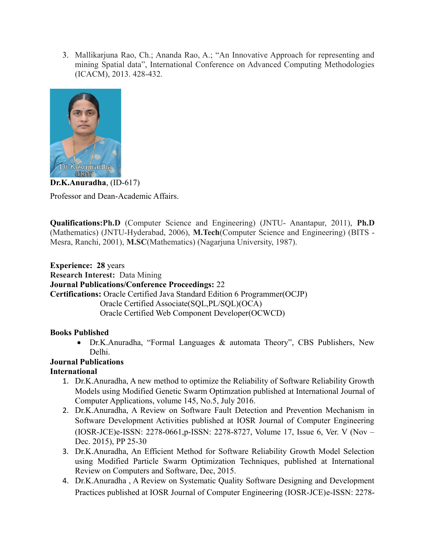3. Mallikarjuna Rao, Ch.; Ananda Rao, A.; "An Innovative Approach for representing and mining Spatial data", International Conference on Advanced Computing Methodologies (ICACM), 2013. 428-432.



**Dr.K.Anuradha**, (ID-617) Professor and Dean-Academic Affairs.

**Qualifications:Ph.D** (Computer Science and Engineering) (JNTU- Anantapur, 2011), **Ph.D** (Mathematics) (JNTU-Hyderabad, 2006), **M.Tech**(Computer Science and Engineering) (BITS - Mesra, Ranchi, 2001), **M.SC**(Mathematics) (Nagarjuna University, 1987).

**Experience: 28** years **Research Interest:** Data Mining **Journal Publications/Conference Proceedings:** 22 **Certifications:** Oracle Certified Java Standard Edition 6 Programmer(OCJP) Oracle Certified Associate(SQL,PL/SQL)(OCA) Oracle Certified Web Component Developer(OCWCD)

#### **Books Published**

 Dr.K.Anuradha, "Formal Languages & automata Theory", CBS Publishers, New Delhi.

# **Journal Publications**

# **International**

- 1. Dr.K.Anuradha, A new method to optimize the Reliability of Software Reliability Growth Models using Modified Genetic Swarm Optimzation published at International Journal of Computer Applications, volume 145, No.5, July 2016.
- 2. Dr.K.Anuradha, A Review on Software Fault Detection and Prevention Mechanism in Software Development Activities published at IOSR Journal of Computer Engineering (IOSR-JCE)e-ISSN: 2278-0661,p-ISSN: 2278-8727, Volume 17, Issue 6, Ver. V (Nov – Dec. 2015), PP 25-30
- 3. Dr.K.Anuradha, An Efficient Method for Software Reliability Growth Model Selection using Modified Particle Swarm Optimization Techniques, published at International Review on Computers and Software, Dec, 2015.
- 4. Dr.K.Anuradha , A Review on Systematic Quality Software Designing and Development Practices published at IOSR Journal of Computer Engineering (IOSR-JCE)e-ISSN: 2278-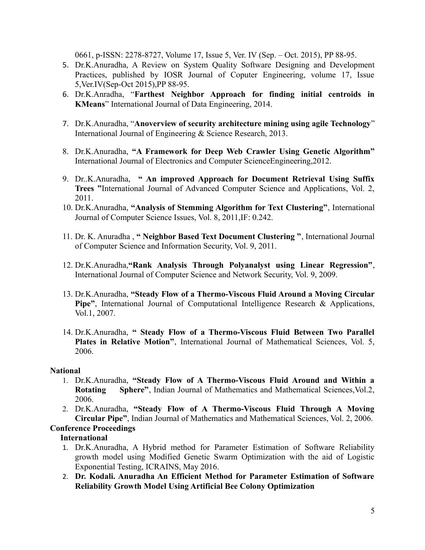0661, p-ISSN: 2278-8727, Volume 17, Issue 5, Ver. IV (Sep. – Oct. 2015), PP 88-95.

- 5. Dr.K.Anuradha, A Review on System Quality Software Designing and Development Practices, published by IOSR Journal of Coputer Engineering, volume 17, Issue 5,Ver.IV(Sep-Oct 2015),PP 88-95.
- 6. Dr.K.Anradha, "**Farthest Neighbor Approach for finding initial centroids in KMeans**" International Journal of Data Engineering, 2014.
- 7. Dr.K.Anuradha, "**Anoverview of security architecture mining using agile Technology**" International Journal of Engineering & Science Research, 2013.
- 8. Dr.K.Anuradha, **"A Framework for Deep Web Crawler Using Genetic Algorithm"** International Journal of Electronics and Computer ScienceEngineering,2012.
- 9. Dr..K.Anuradha, **" An improved Approach for Document Retrieval Using Suffix Trees "**International Journal of Advanced Computer Science and Applications, Vol. 2, 2011.
- 10. Dr.K.Anuradha, **"Analysis of Stemming Algorithm for Text Clustering"**, International Journal of Computer Science Issues, Vol. 8, 2011,IF: 0.242.
- 11. Dr. K. Anuradha , **" Neighbor Based Text Document Clustering "**, International Journal of Computer Science and Information Security, Vol. 9, 2011.
- 12. Dr.K.Anuradha,**"Rank Analysis Through Polyanalyst using Linear Regression"**, International Journal of Computer Science and Network Security, Vol. 9, 2009.
- 13. Dr.K.Anuradha, **"Steady Flow of a Thermo-Viscous Fluid Around a Moving Circular Pipe"**, International Journal of Computational Intelligence Research & Applications, Vol.1, 2007.
- 14. Dr.K.Anuradha, **" Steady Flow of a Thermo-Viscous Fluid Between Two Parallel Plates in Relative Motion"**, International Journal of Mathematical Sciences, Vol. 5, 2006.

#### **National**

- 1. Dr.K.Anuradha, **"Steady Flow of A Thermo-Viscous Fluid Around and Within a Rotating Sphere"**, Indian Journal of Mathematics and Mathematical Sciences,Vol.2, 2006.
- 2. Dr.K.Anuradha, **"Steady Flow of A Thermo-Viscous Fluid Through A Moving Circular Pipe"**, Indian Journal of Mathematics and Mathematical Sciences, Vol. 2, 2006.

# **Conference Proceedings**

#### **International**

- 1. Dr.K.Anuradha, A Hybrid method for Parameter Estimation of Software Reliability growth model using Modified Genetic Swarm Optimization with the aid of Logistic Exponential Testing, ICRAINS, May 2016.
- 2. **Dr. Kodali. Anuradha An Efficient Method for Parameter Estimation of Software Reliability Growth Model Using Artificial Bee Colony Optimization**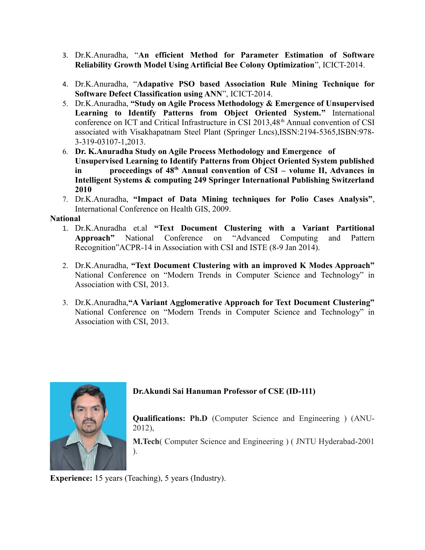- 3. Dr.K.Anuradha, "**An efficient Method for Parameter Estimation of Software Reliability Growth Model Using Artificial Bee Colony Optimization**", ICICT-2014.
- 4. Dr.K.Anuradha, "**Adapative PSO based Association Rule Mining Technique for Software Defect Classification using ANN**", ICICT-2014.
- 5. Dr.K.Anuradha, **"Study on Agile Process Methodology & Emergence of Unsupervised Learning to Identify Patterns from Object Oriented System."** International conference on ICT and Critical Infrastructure in CSI 2013,48<sup>th</sup> Annual convention of CSI associated with Visakhapatnam Steel Plant (Springer Lncs),ISSN:2194-5365,ISBN:978- 3-319-03107-1,2013.
- 6. **Dr. K.Anuradha Study on Agile Process Methodology and Emergence of Unsupervised Learning to Identify Patterns from Object Oriented System published in proceedings of 48th Annual convention of CSI – volume II, Advances in Intelligent Systems & computing 249 Springer International Publishing Switzerland 2010**
- 7. Dr.K.Anuradha, **"Impact of Data Mining techniques for Polio Cases Analysis"**, International Conference on Health GIS, 2009.

#### **National**

- 1. Dr.K.Anuradha et.al **"Text Document Clustering with a Variant Partitional Approach"** National Conference on "Advanced Computing and Pattern Recognition"ACPR-14 in Association with CSI and ISTE (8-9 Jan 2014).
- 2. Dr.K.Anuradha, **"Text Document Clustering with an improved K Modes Approach"** National Conference on "Modern Trends in Computer Science and Technology" in Association with CSI, 2013.
- 3. Dr.K.Anuradha,**"A Variant Agglomerative Approach for Text Document Clustering"** National Conference on "Modern Trends in Computer Science and Technology" in Association with CSI, 2013.



#### **Dr.Akundi Sai Hanuman Professor of CSE (ID-111)**

**Qualifications: Ph.D** (Computer Science and Engineering ) (ANU-2012),

**M.Tech**( Computer Science and Engineering ) ( JNTU Hyderabad-2001

**Experience:** 15 years (Teaching), 5 years (Industry).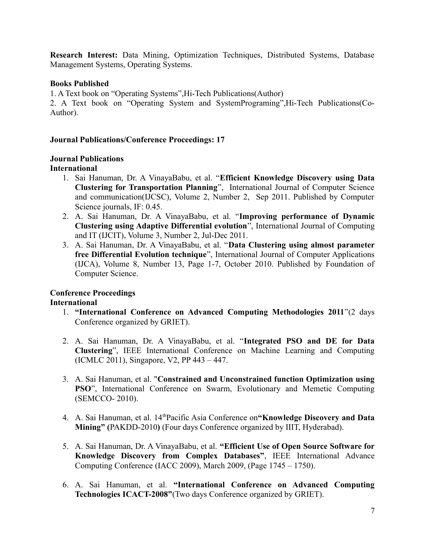**Research Interest:** Data Mining, Optimization Techniques, Distributed Systems, Database Management Systems, Operating Systems.

#### **Books Published**

1. A Text book on "Operating Systems",Hi-Tech Publications(Author)

2. A Text book on "Operating System and SystemPrograming",Hi-Tech Publications(Co-Author).

#### **Journal Publications/Conference Proceedings: 17**

# **Journal Publications**

#### **International**

- 1. Sai Hanuman, Dr. A VinayaBabu, et al. "**Efficient Knowledge Discovery using Data Clustering for Transportation Planning**", International Journal of Computer Science and communication(IJCSC), Volume 2, Number 2, Sep 2011. Published by Computer Science journals, IF: 0.45.
- 2. A. Sai Hanuman, Dr. A VinayaBabu, et al. "**Improving performance of Dynamic Clustering using Adaptive Differential evolution**", International Journal of Computing and IT (IJCIT), Volume 3, Number 2, Jul-Dec 2011.
- 3. A. Sai Hanuman, Dr. A VinayaBabu, et al. "**Data Clustering using almost parameter free Differential Evolution technique**", International Journal of Computer Applications (IJCA), Volume 8, Number 13, Page 1-7, October 2010. Published by Foundation of Computer Science.

# **Conference Proceedings**

#### **International**

- 1. **"International Conference on Advanced Computing Methodologies 2011**"(2 days Conference organized by GRIET).
- 2. A. Sai Hanuman, Dr. A VinayaBabu, et al. "**Integrated PSO and DE for Data Clustering**", IEEE International Conference on Machine Learning and Computing (ICMLC 2011), Singapore, V2, PP 443 – 447.
- 3. A. Sai Hanuman, et al. "**Constrained and Unconstrained function Optimization using PSO**", International Conference on Swarm, Evolutionary and Memetic Computing (SEMCCO- 2010).
- 4. A. Sai Hanuman, et al. 14thPacific Asia Conference on**"Knowledge Discovery and Data Mining" (**PAKDD-2010**)** (Four days Conference organized by IIIT, Hyderabad).
- 5. A. Sai Hanuman, Dr. A VinayaBabu, et al. **"Efficient Use of Open Source Software for Knowledge Discovery from Complex Databases"**, IEEE International Advance Computing Conference (IACC 2009), March 2009, (Page 1745 – 1750).
- 6. A. Sai Hanuman, et al. **"International Conference on Advanced Computing Technologies ICACT-2008"**(Two days Conference organized by GRIET).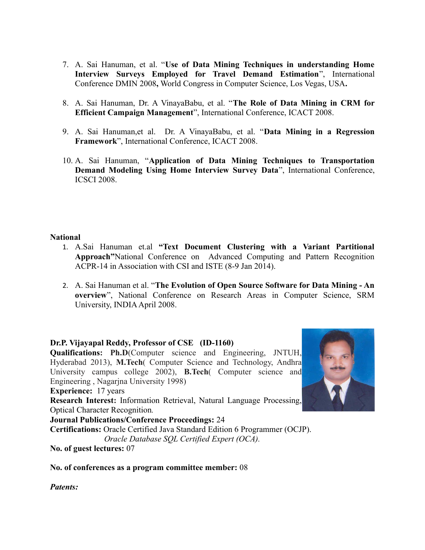- 7. A. Sai Hanuman, et al. "**Use of Data Mining Techniques in understanding Home Interview Surveys Employed for Travel Demand Estimation**", International Conference DMIN 2008**,** World Congress in Computer Science, Los Vegas, USA**.**
- 8. A. Sai Hanuman, Dr. A VinayaBabu, et al. "**The Role of Data Mining in CRM for Efficient Campaign Management**", International Conference, ICACT 2008.
- 9. A. Sai Hanuman,et al. Dr. A VinayaBabu, et al. "**Data Mining in a Regression Framework**", International Conference, ICACT 2008.
- 10. A. Sai Hanuman, "**Application of Data Mining Techniques to Transportation Demand Modeling Using Home Interview Survey Data**", International Conference, ICSCI 2008.

#### **National**

- 1. A.Sai Hanuman et.al **"Text Document Clustering with a Variant Partitional Approach"**National Conference on Advanced Computing and Pattern Recognition ACPR-14 in Association with CSI and ISTE (8-9 Jan 2014).
- 2. A. Sai Hanuman et al. "**The Evolution of Open Source Software for Data Mining An overview**", National Conference on Research Areas in Computer Science, SRM University, INDIA April 2008.

#### **Dr.P. Vijayapal Reddy, Professor of CSE (ID-1160)**

**Qualifications: Ph.D**(Computer science and Engineering, JNTUH, Hyderabad 2013), **M.Tech**( Computer Science and Technology, Andhra University campus college 2002), **B.Tech**( Computer science and Engineering , Nagarjna University 1998) **Experience:** 17 years **Research Interest:** Information Retrieval, Natural Language Processing, Optical Character Recognition*.* **Journal Publications/Conference Proceedings:** 24 **Certifications:** Oracle Certified Java Standard Edition 6 Programmer (OCJP).  *Oracle Database SQL Certified Expert (OCA).*

**No. of guest lectures:** 07

**No. of conferences as a program committee member:** 08

*Patents:* 

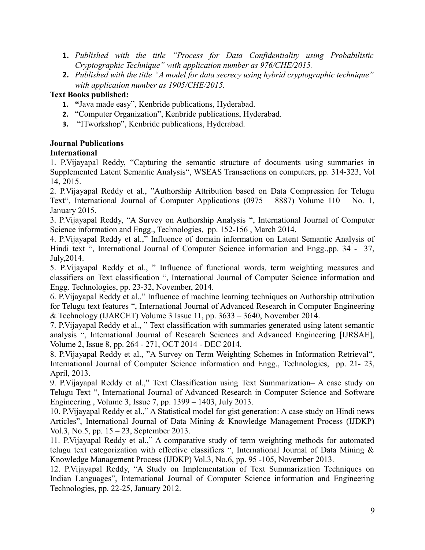- **1.** *Published with the title "Process for Data Confidentiality using Probabilistic Cryptographic Technique" with application number as 976/CHE/2015.*
- **2.** *Published with the title "A model for data secrecy using hybrid cryptographic technique" with application number as 1905/CHE/2015.*

# **Text Books published:**

- **1. "**Java made easy", Kenbride publications, Hyderabad.
- **2.** "Computer Organization", Kenbride publications, Hyderabad.
- **3.** "ITworkshop", Kenbride publications, Hyderabad.

## **Journal Publications**

## **International**

1. P.Vijayapal Reddy, "Capturing the semantic structure of documents using summaries in Supplemented Latent Semantic Analysis", WSEAS Transactions on computers, pp. 314-323, Vol 14, 2015.

2. P.Vijayapal Reddy et al., "Authorship Attribution based on Data Compression for Telugu Text", International Journal of Computer Applications (0975 – 8887) Volume 110 – No. 1, January 2015.

3. P.Vijayapal Reddy, "A Survey on Authorship Analysis ", International Journal of Computer Science information and Engg., Technologies, pp. 152-156 , March 2014.

4. P.Vijayapal Reddy et al.," Influence of domain information on Latent Semantic Analysis of Hindi text ", International Journal of Computer Science information and Engg.,pp. 34 - 37, July,2014.

5. P.Vijayapal Reddy et al., " Influence of functional words, term weighting measures and classifiers on Text classification ", International Journal of Computer Science information and Engg. Technologies, pp. 23-32, November, 2014.

6. P.Vijayapal Reddy et al.," Influence of machine learning techniques on Authorship attribution for Telugu text features ", International Journal of Advanced Research in Computer Engineering & Technology (IJARCET) Volume 3 Issue 11, pp. 3633 – 3640, November 2014.

7. P.Vijayapal Reddy et al., " Text classification with summaries generated using latent semantic analysis ", International Journal of Research Sciences and Advanced Engineering [IJRSAE], Volume 2, Issue 8, pp. 264 - 271, OCT 2014 - DEC 2014.

8. P.Vijayapal Reddy et al., "A Survey on Term Weighting Schemes in Information Retrieval", International Journal of Computer Science information and Engg., Technologies, pp. 21- 23, April, 2013.

9. P.Vijayapal Reddy et al.," Text Classification using Text Summarization– A case study on Telugu Text ", International Journal of Advanced Research in Computer Science and Software Engineering , Volume 3, Issue 7, pp. 1399 – 1403, July 2013.

10. P.Vijayapal Reddy et al.," A Statistical model for gist generation: A case study on Hindi news Articles", International Journal of Data Mining & Knowledge Management Process (IJDKP) Vol.3, No.5, pp. 15 – 23, September 2013.

11. P.Vijayapal Reddy et al.," A comparative study of term weighting methods for automated telugu text categorization with effective classifiers ", International Journal of Data Mining & Knowledge Management Process (IJDKP) Vol.3, No.6, pp. 95 -105, November 2013.

12. P.Vijayapal Reddy, "A Study on Implementation of Text Summarization Techniques on Indian Languages", International Journal of Computer Science information and Engineering Technologies, pp. 22-25, January 2012.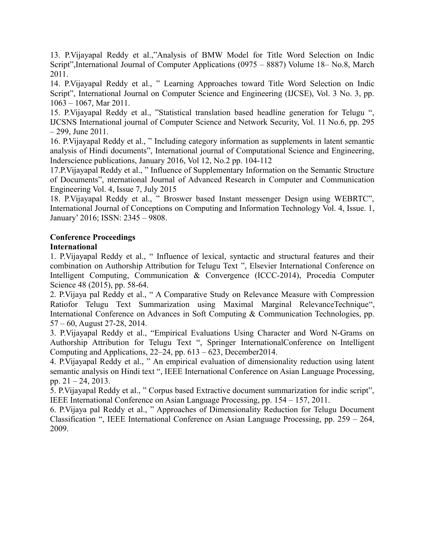13. P.Vijayapal Reddy et al.,"Analysis of BMW Model for Title Word Selection on Indic Script",International Journal of Computer Applications (0975 – 8887) Volume 18– No.8, March 2011.

14. P.Vijayapal Reddy et al., " Learning Approaches toward Title Word Selection on Indic Script", International Journal on Computer Science and Engineering (IJCSE), Vol. 3 No. 3, pp. 1063 – 1067, Mar 2011.

15. P.Vijayapal Reddy et al., "Statistical translation based headline generation for Telugu ", IJCSNS International journal of Computer Science and Network Security, Vol. 11 No.6, pp. 295  $-299$ , June 2011.

16. P.Vijayapal Reddy et al., " Including category information as supplements in latent semantic analysis of Hindi documents", International journal of Computational Science and Engineering, Inderscience publications, January 2016, Vol 12, No.2 pp. 104-112

17.P.Vijayapal Reddy et al., " Influence of Supplementary Information on the Semantic Structure of Documents", nternational Journal of Advanced Research in Computer and Communication Engineering Vol. 4, Issue 7, July 2015

18. P.Vijayapal Reddy et al., " Broswer based Instant messenger Design using WEBRTC", International Journal of Conceptions on Computing and Information Technology Vol. 4, Issue. 1, January' 2016; ISSN: 2345 – 9808.

# **Conference Proceedings**

#### **International**

1. P.Vijayapal Reddy et al., " Influence of lexical, syntactic and structural features and their combination on Authorship Attribution for Telugu Text ", Elsevier International Conference on Intelligent Computing, Communication & Convergence (ICCC-2014), Procedia Computer Science 48 (2015), pp. 58-64.

2. P.Vijaya pal Reddy et al., " A Comparative Study on Relevance Measure with Compression Ratiofor Telugu Text Summarization using Maximal Marginal RelevanceTechnique", International Conference on Advances in Soft Computing & Communication Technologies, pp. 57 – 60, August 27-28, 2014.

3. P.Vijayapal Reddy et al., "Empirical Evaluations Using Character and Word N-Grams on Authorship Attribution for Telugu Text ", Springer InternationalConference on Intelligent Computing and Applications, 22–24, pp. 613 – 623, December2014.

4. P.Vijayapal Reddy et al., " An empirical evaluation of dimensionality reduction using latent semantic analysis on Hindi text ", IEEE International Conference on Asian Language Processing, pp. 21 – 24, 2013.

5. P.Vijayapal Reddy et al., " Corpus based Extractive document summarization for indic script", IEEE International Conference on Asian Language Processing, pp. 154 – 157, 2011.

6. P.Vijaya pal Reddy et al., " Approaches of Dimensionality Reduction for Telugu Document Classification ", IEEE International Conference on Asian Language Processing, pp. 259 – 264, 2009.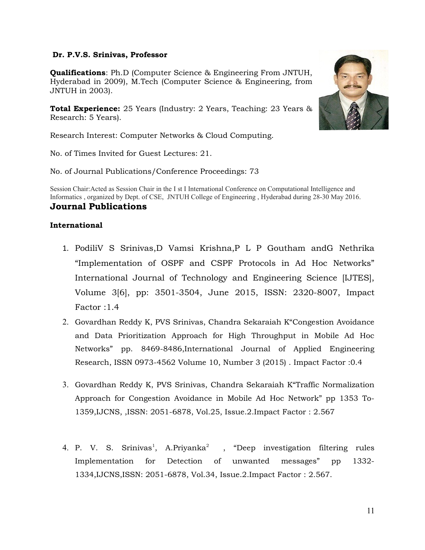#### **Dr. P.V.S. Srinivas, Professor**

**Qualifications**: Ph.D (Computer Science & Engineering From JNTUH, Hyderabad in 2009), M.Tech (Computer Science & Engineering, from JNTUH in 2003).

**Total Experience:** 25 Years (Industry: 2 Years, Teaching: 23 Years & Research: 5 Years).

Research Interest: Computer Networks & Cloud Computing.

No. of Times Invited for Guest Lectures: 21.

No. of Journal Publications/Conference Proceedings: 73

Session Chair:Acted as Session Chair in the I st I International Conference on Computational Intelligence and Informatics , organized by Dept. of CSE, JNTUH College of Engineering , Hyderabad during 28-30 May 2016. **Journal Publications**

#### **International**

- 1. PodiliV S Srinivas,D Vamsi Krishna,P L P Goutham andG Nethrika "Implementation of OSPF and CSPF Protocols in Ad Hoc Networks" International Journal of Technology and Engineering Science [IJTES], Volume 3[6], pp: 3501-3504, June 2015, ISSN: 2320-8007, Impact Factor :1.4
- 2. Govardhan Reddy K, PVS Srinivas, Chandra Sekaraiah K"Congestion Avoidance and Data Prioritization Approach for High Throughput in Mobile Ad Hoc Networks" pp. 8469-8486,International Journal of Applied Engineering Research, ISSN 0973-4562 Volume 10, Number 3 (2015) . Impact Factor :0.4
- 3. Govardhan Reddy K, PVS Srinivas, Chandra Sekaraiah K"Traffic Normalization Approach for Congestion Avoidance in Mobile Ad Hoc Network" pp 1353 To-1359,IJCNS, ,ISSN: 2051-6878, Vol.25, Issue.2.Impact Factor : 2.567
- 4. P. V. S. Srinivas<sup>1</sup>, A.Priyanka<sup>2</sup> "Deep investigation filtering rules Implementation for Detection of unwanted messages" pp 1332- 1334,IJCNS,ISSN: 2051-6878, Vol.34, Issue.2.Impact Factor : 2.567.

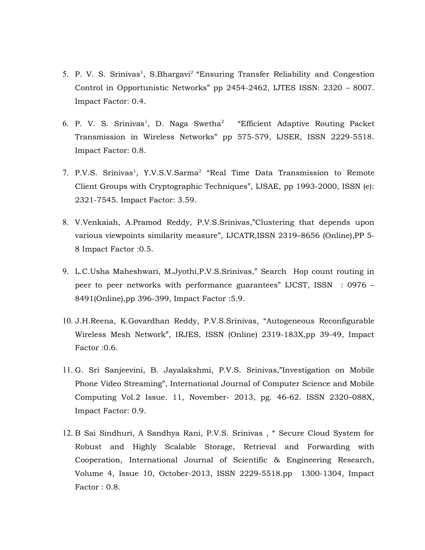- 5. P. V. S. Srinivas<sup>1</sup>, S.Bhargavi<sup>2</sup> "Ensuring Transfer Reliability and Congestion Control in Opportunistic Networks" pp 2454-2462, IJTES ISSN: 2320 – 8007. Impact Factor: 0.4.
- 6. P. V. S. Srinivas<sup>1</sup>, D. Naga Swetha<sup>2</sup> "Efficient Adaptive Routing Packet Transmission in Wireless Networks" pp 575-579, IJSER, ISSN 2229-5518. Impact Factor: 0.8.
- 7. P.V.S. Srinivas<sup>1</sup>, Y.V.S.V.Sarma<sup>2</sup> "Real Time Data Transmission to Remote Client Groups with Cryptographic Techniques", IJSAE, pp 1993-2000, ISSN (e): 2321-7545. Impact Factor: 3.59.
- 8. V.Venkaiah, A.Pramod Reddy, P.V.S.Srinivas,"Clustering that depends upon various viewpoints similarity measure", IJCATR,ISSN 2319–8656 (Online),PP 5- 8 Impact Factor :0.5.
- 9. L.C.Usha Maheshwari, M.Jyothi,P.V.S.Srinivas," Search Hop count routing in peer to peer networks with performance guarantees" IJCST, ISSN : 0976 – 8491(Online),pp 396-399, Impact Factor :5.9.
- 10. J.H.Reena, K.Govardhan Reddy, P.V.S.Srinivas, "Autogeneous Reconfigurable Wireless Mesh Network", IRJES, ISSN (Online) 2319-183X,pp 39-49, Impact Factor :0.6.
- 11. G. Sri Sanjeevini, B. Jayalakshmi, P.V.S. Srinivas,"Investigation on Mobile Phone Video Streaming", International Journal of Computer Science and Mobile Computing Vol.2 Issue. 11, November- 2013, pg. 46-62. ISSN 2320–088X, Impact Factor: 0.9.
- 12. B Sai Sindhuri, A Sandhya Rani, P.V.S. Srinivas , " Secure Cloud System for Robust and Highly Scalable Storage, Retrieval and Forwarding with Cooperation, International Journal of Scientific & Engineering Research, Volume 4, Issue 10, October-2013, ISSN 2229-5518.pp 1300-1304, Impact Factor : 0.8.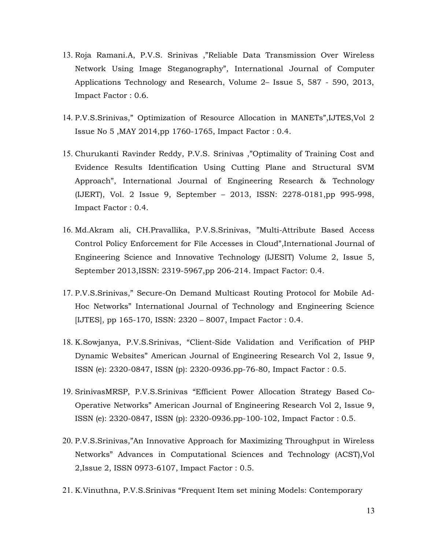- 13. Roja Ramani.A, P.V.S. Srinivas ,"Reliable Data Transmission Over Wireless Network Using Image Steganography", International Journal of Computer Applications Technology and Research, Volume 2– Issue 5, 587 - 590, 2013, Impact Factor : 0.6.
- 14. P.V.S.Srinivas," Optimization of Resource Allocation in MANETs",IJTES,Vol 2 Issue No 5 ,MAY 2014,pp 1760-1765, Impact Factor : 0.4.
- 15. Churukanti Ravinder Reddy, P.V.S. Srinivas ,"Optimality of Training Cost and Evidence Results Identification Using Cutting Plane and Structural SVM Approach", International Journal of Engineering Research & Technology (IJERT), Vol. 2 Issue 9, September – 2013, ISSN: 2278-0181,pp 995-998, Impact Factor : 0.4.
- 16. Md.Akram ali, CH.Pravallika, P.V.S.Srinivas, "Multi-Attribute Based Access Control Policy Enforcement for File Accesses in Cloud",International Journal of Engineering Science and Innovative Technology (IJESIT) Volume 2, Issue 5, September 2013,ISSN: 2319-5967,pp 206-214. Impact Factor: 0.4.
- 17. P.V.S.Srinivas," Secure-On Demand Multicast Routing Protocol for Mobile Ad-Hoc Networks" International Journal of Technology and Engineering Science [IJTES], pp 165-170, ISSN: 2320 – 8007, Impact Factor : 0.4.
- 18. K.Sowjanya, P.V.S.Srinivas, "Client-Side Validation and Verification of PHP Dynamic Websites" American Journal of Engineering Research Vol 2, Issue 9, ISSN (e): 2320-0847, ISSN (p): 2320-0936.pp-76-80, Impact Factor : 0.5.
- 19. SrinivasMRSP, P.V.S.Srinivas "Efficient Power Allocation Strategy Based Co-Operative Networks" American Journal of Engineering Research Vol 2, Issue 9, ISSN (e): 2320-0847, ISSN (p): 2320-0936.pp-100-102, Impact Factor : 0.5.
- 20. P.V.S.Srinivas,"An Innovative Approach for Maximizing Throughput in Wireless Networks" Advances in Computational Sciences and Technology (ACST),Vol 2,Issue 2, ISSN 0973-6107, Impact Factor : 0.5.
- 21. K.Vinuthna, P.V.S.Srinivas "Frequent Item set mining Models: Contemporary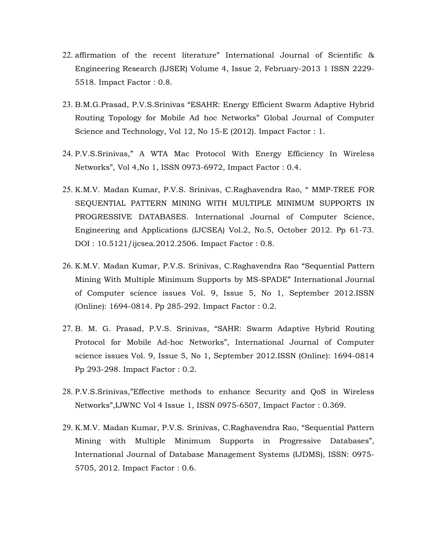- 22. affirmation of the recent literature" International Journal of Scientific & Engineering Research (IJSER) Volume 4, Issue 2, February-2013 1 ISSN 2229- 5518. Impact Factor : 0.8.
- 23. B.M.G.Prasad, P.V.S.Srinivas "ESAHR: Energy Efficient Swarm Adaptive Hybrid Routing Topology for Mobile Ad hoc Networks" Global Journal of Computer Science and Technology, Vol 12, No 15-E (2012). Impact Factor : 1.
- 24. P.V.S.Srinivas," A WTA Mac Protocol With Energy Efficiency In Wireless Networks", Vol 4,No 1, ISSN 0973-6972, Impact Factor : 0.4.
- 25. K.M.V. Madan Kumar, P.V.S. Srinivas, C.Raghavendra Rao, " MMP-TREE FOR SEQUENTIAL PATTERN MINING WITH MULTIPLE MINIMUM SUPPORTS IN PROGRESSIVE DATABASES. International Journal of Computer Science, Engineering and Applications (IJCSEA) Vol.2, No.5, October 2012. Pp 61-73. DOI : 10.5121/ijcsea.2012.2506. Impact Factor : 0.8.
- 26. K.M.V. Madan Kumar, P.V.S. Srinivas, C.Raghavendra Rao "Sequential Pattern Mining With Multiple Minimum Supports by MS-SPADE" International Journal of Computer science issues Vol. 9, Issue 5, No 1, September 2012.ISSN (Online): 1694-0814. Pp 285-292. Impact Factor : 0.2.
- 27. B. M. G. Prasad, P.V.S. Srinivas, "SAHR: Swarm Adaptive Hybrid Routing Protocol for Mobile Ad-hoc Networks", International Journal of Computer science issues Vol. 9, Issue 5, No 1, September 2012.ISSN (Online): 1694-0814 Pp 293-298. Impact Factor : 0.2.
- 28. P.V.S.Srinivas,"Effective methods to enhance Security and QoS in Wireless Networks",IJWNC Vol 4 Issue 1, ISSN 0975-6507, Impact Factor : 0.369.
- 29. K.M.V. Madan Kumar, P.V.S. Srinivas, C.Raghavendra Rao, "Sequential Pattern Mining with Multiple Minimum Supports in Progressive Databases", International Journal of Database Management Systems (IJDMS), ISSN: 0975- 5705, 2012. Impact Factor : 0.6.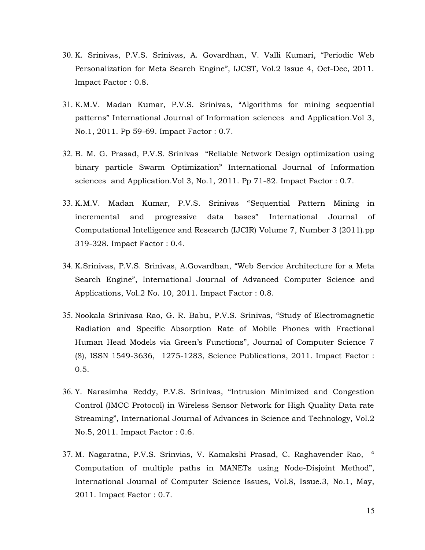- 30. K. Srinivas, P.V.S. Srinivas, A. Govardhan, V. Valli Kumari, "Periodic Web Personalization for Meta Search Engine", IJCST, Vol.2 Issue 4, Oct-Dec, 2011. Impact Factor : 0.8.
- 31. K.M.V. Madan Kumar, P.V.S. Srinivas, "Algorithms for mining sequential patterns" International Journal of Information sciences and Application.Vol 3, No.1, 2011. Pp 59-69. Impact Factor : 0.7.
- 32. B. M. G. Prasad, P.V.S. Srinivas "Reliable Network Design optimization using binary particle Swarm Optimization" International Journal of Information sciences and Application.Vol 3, No.1, 2011. Pp 71-82. Impact Factor : 0.7.
- 33. K.M.V. Madan Kumar, P.V.S. Srinivas "Sequential Pattern Mining in incremental and progressive data bases" International Journal of Computational Intelligence and Research (IJCIR) Volume 7, Number 3 (2011).pp 319-328. Impact Factor : 0.4.
- 34. K.Srinivas, P.V.S. Srinivas, A.Govardhan, "Web Service Architecture for a Meta Search Engine", International Journal of Advanced Computer Science and Applications, Vol.2 No. 10, 2011. Impact Factor : 0.8.
- 35. Nookala Srinivasa Rao, G. R. Babu, P.V.S. Srinivas, "Study of Electromagnetic Radiation and Specific Absorption Rate of Mobile Phones with Fractional Human Head Models via Green's Functions", Journal of Computer Science 7 (8), ISSN 1549-3636, 1275-1283, Science Publications, 2011. Impact Factor : 0.5.
- 36. Y. Narasimha Reddy, P.V.S. Srinivas, "Intrusion Minimized and Congestion Control (IMCC Protocol) in Wireless Sensor Network for High Quality Data rate Streaming", International Journal of Advances in Science and Technology, Vol.2 No.5, 2011. Impact Factor : 0.6.
- 37. M. Nagaratna, P.V.S. Srinvias, V. Kamakshi Prasad, C. Raghavender Rao, " Computation of multiple paths in MANETs using Node-Disjoint Method", International Journal of Computer Science Issues, Vol.8, Issue.3, No.1, May, 2011. Impact Factor : 0.7.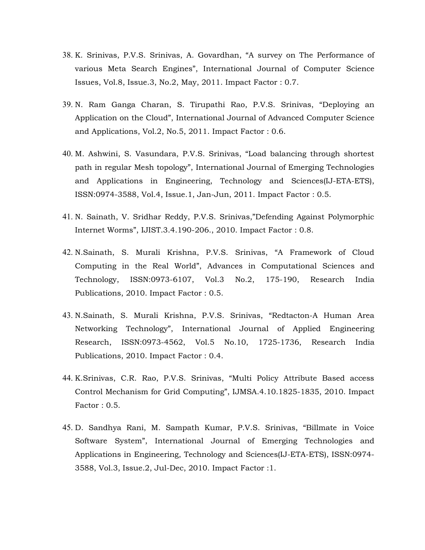- 38. K. Srinivas, P.V.S. Srinivas, A. Govardhan, "A survey on The Performance of various Meta Search Engines", International Journal of Computer Science Issues, Vol.8, Issue.3, No.2, May, 2011. Impact Factor : 0.7.
- 39. N. Ram Ganga Charan, S. Tirupathi Rao, P.V.S. Srinivas, "Deploying an Application on the Cloud", International Journal of Advanced Computer Science and Applications, Vol.2, No.5, 2011. Impact Factor : 0.6.
- 40. M. Ashwini, S. Vasundara, P.V.S. Srinivas, "Load balancing through shortest path in regular Mesh topology", International Journal of Emerging Technologies and Applications in Engineering, Technology and Sciences(IJ-ETA-ETS), ISSN:0974-3588, Vol.4, Issue.1, Jan-Jun, 2011. Impact Factor : 0.5.
- 41. N. Sainath, V. Sridhar Reddy, P.V.S. Srinivas,"Defending Against Polymorphic Internet Worms", IJIST.3.4.190-206., 2010. Impact Factor : 0.8.
- 42. N.Sainath, S. Murali Krishna, P.V.S. Srinivas, "A Framework of Cloud Computing in the Real World", Advances in Computational Sciences and Technology, ISSN:0973-6107, Vol.3 No.2, 175-190, Research India Publications, 2010. Impact Factor : 0.5.
- 43. N.Sainath, S. Murali Krishna, P.V.S. Srinivas, "Redtacton-A Human Area Networking Technology", International Journal of Applied Engineering Research, ISSN:0973-4562, Vol.5 No.10, 1725-1736, Research India Publications, 2010. Impact Factor : 0.4.
- 44. K.Srinivas, C.R. Rao, P.V.S. Srinivas, "Multi Policy Attribute Based access Control Mechanism for Grid Computing", IJMSA.4.10.1825-1835, 2010. Impact Factor : 0.5.
- 45. D. Sandhya Rani, M. Sampath Kumar, P.V.S. Srinivas, "Billmate in Voice Software System", International Journal of Emerging Technologies and Applications in Engineering, Technology and Sciences(IJ-ETA-ETS), ISSN:0974- 3588, Vol.3, Issue.2, Jul-Dec, 2010. Impact Factor :1.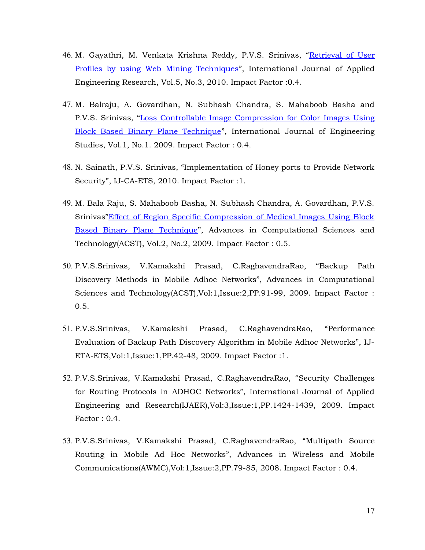- 46. M. Gayathri, M. Venkata Krishna Reddy, P.V.S. Srinivas, ["Retrieval of User](http://www.ripublication.com/ijaerv5/ijaerv5n3_16.pdf) [Profiles by using Web Mining Techniques"](http://www.ripublication.com/ijaerv5/ijaerv5n3_16.pdf), International Journal of Applied Engineering Research, Vol.5, No.3, 2010. Impact Factor :0.4.
- 47. M. Balraju, A. Govardhan, N. Subhash Chandra, S. Mahaboob Basha and P.V.S. Srinivas, ["Loss Controllable Image Compression for Color Images Using](http://www.ripublication.com/ijes/ijesv1n1_8.pdf) [Block Based Binary Plane Technique"](http://www.ripublication.com/ijes/ijesv1n1_8.pdf), International Journal of Engineering Studies, Vol.1, No.1. 2009. Impact Factor : 0.4.
- 48. N. Sainath, P.V.S. Srinivas, "Implementation of Honey ports to Provide Network Security", IJ-CA-ETS, 2010. Impact Factor :1.
- 49. M. Bala Raju, S. Mahaboob Basha, N. Subhash Chandra, A. Govardhan, P.V.S. Srinivas["Effect of Region Specific Compression of Medical Images Using Block](http://www.ripublication.com/acst/acstv2n2_1.pdf) [Based Binary Plane Technique"](http://www.ripublication.com/acst/acstv2n2_1.pdf), Advances in Computational Sciences and Technology(ACST), Vol.2, No.2, 2009. Impact Factor : 0.5.
- 50. P.V.S.Srinivas, V.Kamakshi Prasad, C.RaghavendraRao, "Backup Path Discovery Methods in Mobile Adhoc Networks", Advances in Computational Sciences and Technology(ACST),Vol:1,Issue:2,PP.91-99, 2009. Impact Factor : 0.5.
- 51. P.V.S.Srinivas, V.Kamakshi Prasad, C.RaghavendraRao, "Performance Evaluation of Backup Path Discovery Algorithm in Mobile Adhoc Networks", IJ-ETA-ETS,Vol:1,Issue:1,PP.42-48, 2009. Impact Factor :1.
- 52. P.V.S.Srinivas, V.Kamakshi Prasad, C.RaghavendraRao, "Security Challenges for Routing Protocols in ADHOC Networks", International Journal of Applied Engineering and Research(IJAER),Vol:3,Issue:1,PP.1424-1439, 2009. Impact Factor : 0.4.
- 53. P.V.S.Srinivas, V.Kamakshi Prasad, C.RaghavendraRao, "Multipath Source Routing in Mobile Ad Hoc Networks", Advances in Wireless and Mobile Communications(AWMC),Vol:1,Issue:2,PP.79-85, 2008. Impact Factor : 0.4.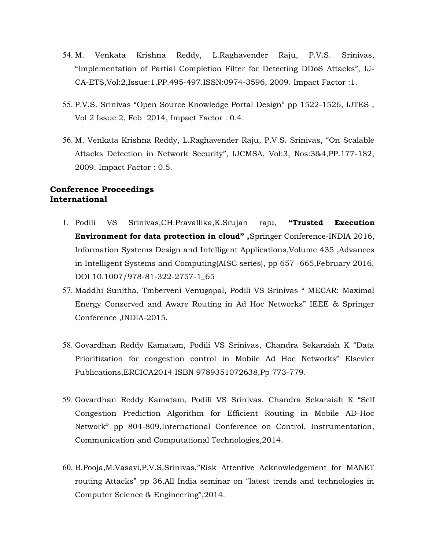- 54. M. Venkata Krishna Reddy, L.Raghavender Raju, P.V.S. Srinivas, "Implementation of Partial Completion Filter for Detecting DDoS Attacks", IJ-CA-ETS,Vol:2,Issue:1,PP.495-497.ISSN:0974-3596, 2009. Impact Factor :1.
- 55. P.V.S. Srinivas "Open Source Knowledge Portal Design" pp 1522-1526, IJTES , Vol 2 Issue 2, Feb 2014, Impact Factor : 0.4.
- 56. M. Venkata Krishna Reddy, L.Raghavender Raju, P.V.S. Srinivas, "On Scalable Attacks Detection in Network Security", IJCMSA, Vol:3, Nos:3&4,PP.177-182, 2009. Impact Factor : 0.5.

#### **Conference Proceedings International**

- 1. Podili VS Srinivas,CH.Pravallika,K.Srujan raju, **"Trusted Execution Environment for data protection in cloud" ,**Springer Conference-INDIA 2016, Information Systems Design and Intelligent Applications,Volume 435 ,Advances in Intelligent Systems and Computing(AISC series), pp 657 -665,February 2016, DOI 10.1007/978-81-322-2757-1\_65
- 57. Maddhi Sunitha, Tmberveni Venugopal, Podili VS Srinivas " MECAR: Maximal Energy Conserved and Aware Routing in Ad Hoc Networks" IEEE & Springer Conference ,INDIA-2015.
- 58. Govardhan Reddy Kamatam, Podili VS Srinivas, Chandra Sekaraiah K "Data Prioritization for congestion control in Mobile Ad Hoc Networks" Elsevier Publications,ERCICA2014 ISBN 9789351072638,Pp 773-779.
- 59. Govardhan Reddy Kamatam, Podili VS Srinivas, Chandra Sekaraiah K "Self Congestion Prediction Algorithm for Efficient Routing in Mobile AD-Hoc Network" pp 804-809,International Conference on Control, Instrumentation, Communication and Computational Technologies,2014.
- 60. B.Pooja,M.Vasavi,P.V.S.Srinivas,"Risk Attentive Acknowledgement for MANET routing Attacks" pp 36,All India seminar on "latest trends and technologies in Computer Science & Engineering",2014.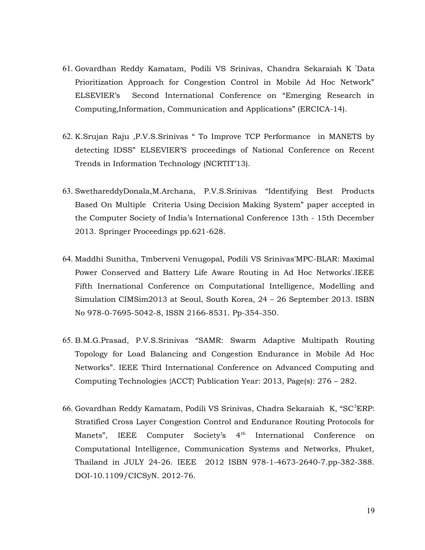- 61. Govardhan Reddy Kamatam, Podili VS Srinivas, Chandra Sekaraiah K "Data Prioritization Approach for Congestion Control in Mobile Ad Hoc Network" ELSEVIER's Second International Conference on "Emerging Research in Computing,Information, Communication and Applications" (ERCICA-14).
- 62. K.Srujan Raju ,P.V.S.Srinivas " To Improve TCP Performance in MANETS by detecting IDSS" ELSEVIER'S proceedings of National Conference on Recent Trends in Information Technology (NCRTIT'13).
- 63. SwethareddyDonala,M.Archana, P.V.S.Srinivas "Identifying Best Products Based On Multiple Criteria Using Decision Making System" paper accepted in the Computer Society of India's International Conference 13th - 15th December 2013. Springer Proceedings pp.621-628.
- 64. Maddhi Sunitha, Tmberveni Venugopal, Podili VS Srinivas'MPC-BLAR: Maximal Power Conserved and Battery Life Aware Routing in Ad Hoc Networks'.IEEE Fifth Inernational Conference on Computational Intelligence, Modelling and Simulation CIMSim2013 at Seoul, South Korea, 24 – 26 September 2013. ISBN No 978-0-7695-5042-8, ISSN 2166-8531. Pp-354-350.
- 65. B.M.G.Prasad, P.V.S.Srinivas "SAMR: Swarm Adaptive Multipath Routing Topology for Load Balancing and Congestion Endurance in Mobile Ad Hoc Networks". IEEE Third International Conference on Advanced Computing and Computing Technologies {ACCT} Publication Year: 2013, Page(s): 276 – 282.
- 66. Govardhan Reddy Kamatam, Podili VS Srinivas, Chadra Sekaraiah K, "SC<sup>3</sup>ERP: Stratified Cross Layer Congestion Control and Endurance Routing Protocols for Manets", IEEE Computer Society's 4<sup>th</sup> International Conference on Computational Intelligence, Communication Systems and Networks, Phuket, Thailand in JULY 24-26. IEEE 2012 ISBN 978-1-4673-2640-7.pp-382-388. DOI-10.1109/CICSyN. 2012-76.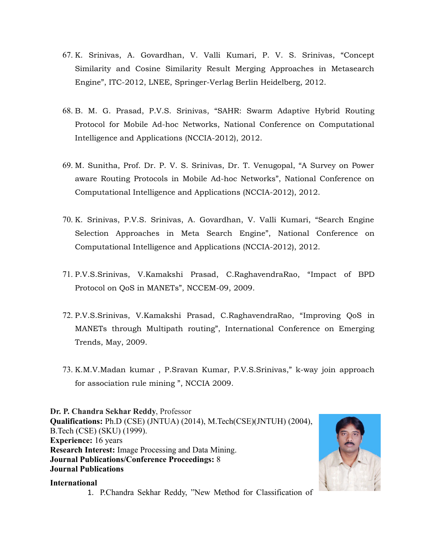- 67. K. Srinivas, A. Govardhan, V. Valli Kumari, P. V. S. Srinivas, "Concept Similarity and Cosine Similarity Result Merging Approaches in Metasearch Engine", ITC-2012, LNEE, Springer-Verlag Berlin Heidelberg, 2012.
- 68. B. M. G. Prasad, P.V.S. Srinivas, "SAHR: Swarm Adaptive Hybrid Routing Protocol for Mobile Ad-hoc Networks, National Conference on Computational Intelligence and Applications (NCCIA-2012), 2012.
- 69. M. Sunitha, Prof. Dr. P. V. S. Srinivas, Dr. T. Venugopal, "A Survey on Power aware Routing Protocols in Mobile Ad-hoc Networks", National Conference on Computational Intelligence and Applications (NCCIA-2012), 2012.
- 70. K. Srinivas, P.V.S. Srinivas, A. Govardhan, V. Valli Kumari, "Search Engine Selection Approaches in Meta Search Engine", National Conference on Computational Intelligence and Applications (NCCIA-2012), 2012.
- 71. P.V.S.Srinivas, V.Kamakshi Prasad, C.RaghavendraRao, "Impact of BPD Protocol on QoS in MANETs", NCCEM-09, 2009.
- 72. P.V.S.Srinivas, V.Kamakshi Prasad, C.RaghavendraRao, "Improving QoS in MANETs through Multipath routing", International Conference on Emerging Trends, May, 2009.
- 73. K.M.V.Madan kumar , P.Sravan Kumar, P.V.S.Srinivas," k-way join approach for association rule mining ", NCCIA 2009.

**Dr. P. Chandra Sekhar Reddy**, Professor **Qualifications:** Ph.D (CSE) (JNTUA) (2014), M.Tech(CSE)(JNTUH) (2004), B.Tech (CSE) (SKU) (1999). **Experience:** 16 years **Research Interest:** Image Processing and Data Mining. **Journal Publications/Conference Proceedings:** 8 **Journal Publications**

#### **International**

1. P.Chandra Sekhar Reddy, "New Method for Classification of

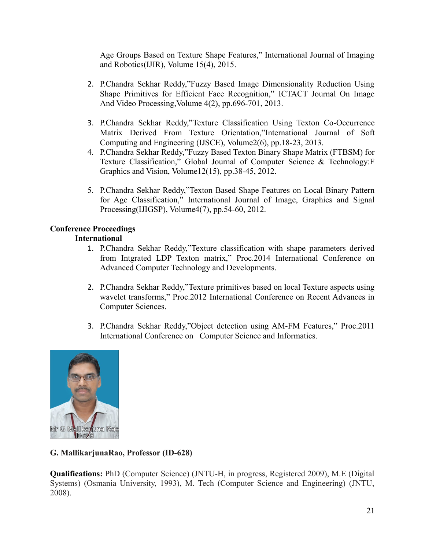Age Groups Based on Texture Shape Features," International Journal of Imaging and Robotics(IJIR), Volume 15(4), 2015.

- 2. P.Chandra Sekhar Reddy,"Fuzzy Based Image Dimensionality Reduction Using Shape Primitives for Efficient Face Recognition," ICTACT Journal On Image And Video Processing,Volume 4(2), pp.696-701, 2013.
- 3. P.Chandra Sekhar Reddy,"Texture Classification Using Texton Co-Occurrence Matrix Derived From Texture Orientation,"International Journal of Soft Computing and Engineering (IJSCE), Volume2(6), pp.18-23, 2013.
- 4. P.Chandra Sekhar Reddy,"Fuzzy Based Texton Binary Shape Matrix (FTBSM) for Texture Classification," Global Journal of Computer Science & Technology:F Graphics and Vision, Volume12(15), pp.38-45, 2012.
- 5. P.Chandra Sekhar Reddy,"Texton Based Shape Features on Local Binary Pattern for Age Classification," International Journal of Image, Graphics and Signal Processing(IJIGSP), Volume4(7), pp.54-60, 2012.

# **Conference Proceedings**

# **International**

- 1. P.Chandra Sekhar Reddy,"Texture classification with shape parameters derived from Intgrated LDP Texton matrix," Proc.2014 International Conference on Advanced Computer Technology and Developments.
- 2. P.Chandra Sekhar Reddy,"Texture primitives based on local Texture aspects using wavelet transforms," Proc.2012 International Conference on Recent Advances in Computer Sciences.
- 3. P.Chandra Sekhar Reddy,"Object detection using AM-FM Features," Proc.2011 International Conference on Computer Science and Informatics.



# **G. MallikarjunaRao, Professor (ID-628)**

**Qualifications:** PhD (Computer Science) (JNTU-H, in progress, Registered 2009), M.E (Digital Systems) (Osmania University, 1993), M. Tech (Computer Science and Engineering) (JNTU, 2008).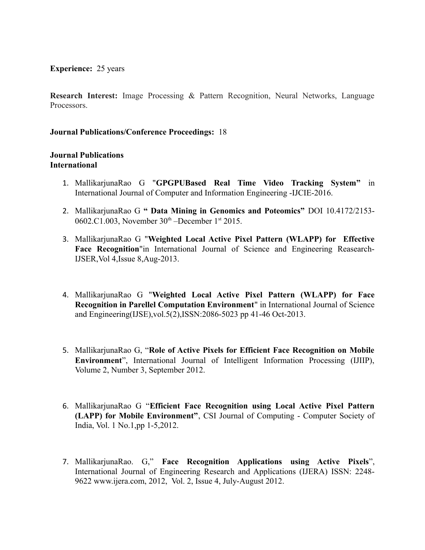**Experience:** 25 years

**Research Interest:** Image Processing & Pattern Recognition, Neural Networks, Language Processors.

#### **Journal Publications/Conference Proceedings:** 18

#### **Journal Publications International**

- 1. MallikarjunaRao G "**GPGPUBased Real Time Video Tracking System"** in International Journal of Computer and Information Engineering -IJCIE-2016.
- 2. MallikarjunaRao G **" Data Mining in Genomics and Poteomics"** DOI 10.4172/2153- 0602.C1.003, November  $30<sup>th</sup>$ -December 1<sup>st</sup> 2015.
- 3. MallikarjunaRao G "**Weighted Local Active Pixel Pattern (WLAPP) for Effective Face Recognition**"in International Journal of Science and Engineering Reasearch-IJSER,Vol 4,Issue 8,Aug-2013.
- 4. MallikarjunaRao G "**Weighted Local Active Pixel Pattern (WLAPP) for Face Recognition in Parellel Computation Environment**" in International Journal of Science and Engineering(IJSE),vol.5(2),ISSN:2086-5023 pp 41-46 Oct-2013.
- 5. MallikarjunaRao G, "**Role of Active Pixels for Efficient Face Recognition on Mobile Environment**", International Journal of Intelligent Information Processing (IJIIP), Volume 2, Number 3, September 2012.
- 6. MallikarjunaRao G "**Efficient Face Recognition using Local Active Pixel Pattern (LAPP) for Mobile Environment"**, CSI Journal of Computing - Computer Society of India, Vol. 1 No.1,pp 1-5,2012.
- 7. MallikarjunaRao. G," **Face Recognition Applications using Active Pixels**", International Journal of Engineering Research and Applications (IJERA) ISSN: 2248- 9622 www.ijera.com, 2012, Vol. 2, Issue 4, July-August 2012.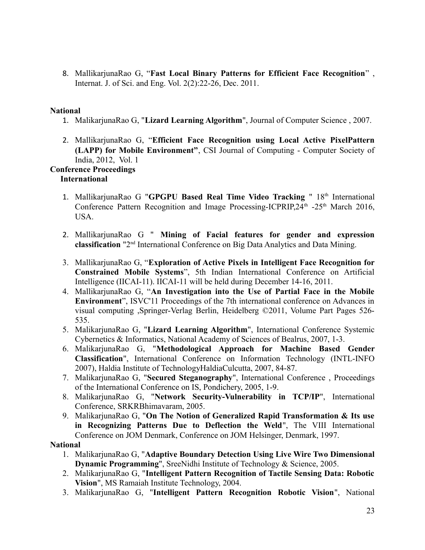8. MallikarjunaRao G, "**Fast Local Binary Patterns for Efficient Face Recognition**" , Internat. J. of Sci. and Eng. Vol. 2(2):22-26, Dec. 2011.

#### **National**

- 1. MalikarjunaRao G, "**Lizard Learning Algorithm**", Journal of Computer Science , 2007.
- 2. MallikarjunaRao G, "**Efficient Face Recognition using Local Active PixelPattern (LAPP) for Mobile Environment"**, CSI Journal of Computing - Computer Society of India, 2012, Vol. 1

# **Conference Proceedings**

#### **International**

- 1. MallikarjunaRao G "GPGPU Based Real Time Video Tracking " 18<sup>th</sup> International Conference Pattern Recognition and Image Processing-ICPRIP,  $24<sup>th</sup>$  - $25<sup>th</sup>$  March 2016, USA.
- 2. MallikarjunaRao G " **Mining of Facial features for gender and expression classification** "2nd International Conference on Big Data Analytics and Data Mining.
- 3. MallikarjunaRao G, "**Exploration of Active Pixels in Intelligent Face Recognition for Constrained Mobile Systems**", 5th Indian International Conference on Artificial Intelligence (IICAI-11). IICAI-11 will be held during December 14-16, 2011.
- 4. MallikarjunaRao G, "**An Investigation into the Use of Partial Face in the Mobile Environment**", ISVC'11 Proceedings of the 7th international conference on Advances in visual computing ,Springer-Verlag Berlin, Heidelberg ©2011, Volume Part Pages 526- 535.
- 5. MalikarjunaRao G, "**Lizard Learning Algorithm**", International Conference Systemic Cybernetics & Informatics, National Academy of Sciences of Bealrus, 2007, 1-3.
- 6. MalikarjunaRao G, "**Methodological Approach for Machine Based Gender Classification**", International Conference on Information Technology (INTL-INFO 2007), Haldia Institute of TechnologyHaldiaCulcutta, 2007, 84-87.
- 7. MalikarjunaRao G, "**Secured Steganography**", International Conference , Proceedings of the International Conference on IS, Pondichery, 2005, 1-9.
- 8. MalikarjunaRao G, "**Network Security-Vulnerability in TCP/IP**", International Conference, SRKRBhimavaram, 2005.
- 9. MalikarjunaRao G, "**On The Notion of Generalized Rapid Transformation & Its use in Recognizing Patterns Due to Deflection the Weld**", The VIII International Conference on JOM Denmark, Conference on JOM Helsinger, Denmark, 1997.

#### **National**

- 1. MalikarjunaRao G, "**Adaptive Boundary Detection Using Live Wire Two Dimensional Dynamic Programming**", SreeNidhi Institute of Technology & Science, 2005.
- 2. MalikarjunaRao G, "**Intelligent Pattern Recognition of Tactile Sensing Data: Robotic Vision**", MS Ramaiah Institute Technology, 2004.
- 3. MalikarjunaRao G, "**Intelligent Pattern Recognition Robotic Vision**", National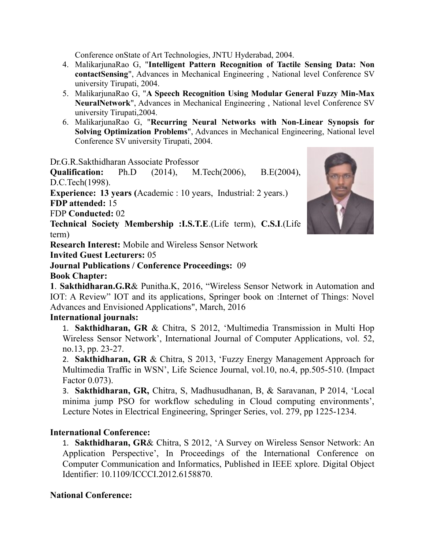Conference onState of Art Technologies, JNTU Hyderabad, 2004.

- 4. MalikarjunaRao G, "**Intelligent Pattern Recognition of Tactile Sensing Data: Non contactSensing**", Advances in Mechanical Engineering , National level Conference SV university Tirupati, 2004.
- 5. MalikarjunaRao G, "**A Speech Recognition Using Modular General Fuzzy Min-Max NeuralNetwork**", Advances in Mechanical Engineering , National level Conference SV university Tirupati,2004.
- 6. MalikarjunaRao G, "**Recurring Neural Networks with Non-Linear Synopsis for Solving Optimization Problems**", Advances in Mechanical Engineering, National level Conference SV university Tirupati, 2004.

Dr.G.R.Sakthidharan Associate Professor

**Qualification:** Ph.D (2014), M.Tech(2006), B.E(2004), D.C.Tech(1998).

**Experience: 13 years (**Academic : 10 years, Industrial: 2 years.) **FDP attended:** 15

FDP **Conducted:** 02

**Technical Society Membership :I.S.T.E**.(Life term), **C.S.I**.(Life term)

**Research Interest:** Mobile and Wireless Sensor Network

**Invited Guest Lecturers:** 05

# **Journal Publications / Conference Proceedings:** 09

**Book Chapter:**

**1**. **Sakthidharan.G.R**& Punitha.K, 2016, "Wireless Sensor Network in Automation and IOT: A Review" IOT and its applications, Springer book on :Internet of Things: Novel Advances and Envisioned Applications", March, 2016

# **International journals:**

1. **Sakthidharan, GR** & Chitra, S 2012, 'Multimedia Transmission in Multi Hop Wireless Sensor Network', International Journal of Computer Applications, vol. 52, no.13, pp. 23-27.

2. **Sakthidharan, GR** & Chitra, S 2013, 'Fuzzy Energy Management Approach for Multimedia Traffic in WSN', Life Science Journal, vol.10, no.4, pp.505-510. (Impact Factor 0.073).

3. **Sakthidharan, GR,** Chitra, S, Madhusudhanan, B, & Saravanan, P 2014, 'Local minima jump PSO for workflow scheduling in Cloud computing environments', Lecture Notes in Electrical Engineering, Springer Series, vol. 279, pp 1225-1234.

# **International Conference:**

1. **Sakthidharan, GR**& Chitra, S 2012, 'A Survey on Wireless Sensor Network: An Application Perspective', In Proceedings of the International Conference on Computer Communication and Informatics, Published in IEEE xplore. Digital Object Identifier: 10.1109/ICCCI.2012.6158870.

# **National Conference:**

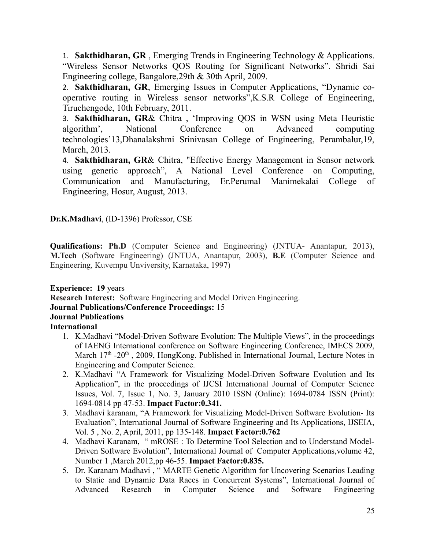1. **Sakthidharan, GR** , Emerging Trends in Engineering Technology & Applications. "Wireless Sensor Networks QOS Routing for Significant Networks". Shridi Sai Engineering college, Bangalore,29th & 30th April, 2009.

2. **Sakthidharan, GR**, Emerging Issues in Computer Applications, "Dynamic cooperative routing in Wireless sensor networks",K.S.R College of Engineering, Tiruchengode, 10th February, 2011.

3. **Sakthidharan, GR**& Chitra , 'Improving QOS in WSN using Meta Heuristic algorithm', National Conference on Advanced computing technologies'13,Dhanalakshmi Srinivasan College of Engineering, Perambalur,19, March, 2013.

4. **Sakthidharan, GR**& Chitra, "Effective Energy Management in Sensor network using generic approach", A National Level Conference on Computing, Communication and Manufacturing, Er.Perumal Manimekalai College of Engineering, Hosur, August, 2013.

**Dr.K.Madhavi**, (ID-1396) Professor, CSE

**Qualifications: Ph.D** (Computer Science and Engineering) (JNTUA- Anantapur, 2013), **M.Tech** (Software Engineering) (JNTUA, Anantapur, 2003), **B.E** (Computer Science and Engineering, Kuvempu Unviversity, Karnataka, 1997)

**Experience: 19** years **Research Interest:** Software Engineering and Model Driven Engineering. **Journal Publications/Conference Proceedings:** 15 **Journal Publications International**

- 1. K.Madhavi "Model-Driven Software Evolution: The Multiple Views", in the proceedings of IAENG International conference on Software Engineering Conference, IMECS 2009, March  $17<sup>th</sup>$  -20<sup>th</sup>, 2009, HongKong. Published in International Journal, Lecture Notes in Engineering and Computer Science.
- 2. K.Madhavi "A Framework for Visualizing Model-Driven Software Evolution and Its Application", in the proceedings of IJCSI International Journal of Computer Science Issues, Vol. 7, Issue 1, No. 3, January 2010 ISSN (Online): 1694-0784 ISSN (Print): 1694-0814 pp 47-53. **Impact Factor:0.341.**
- 3. Madhavi karanam, "A Framework for Visualizing Model-Driven Software Evolution- Its Evaluation", International Journal of Software Engineering and Its Applications, IJSEIA, Vol. 5 , No. 2, April, 2011, pp 135-148. **Impact Factor:0.762**
- 4. Madhavi Karanam, " mROSE : To Determine Tool Selection and to Understand Model-Driven Software Evolution", International Journal of Computer Applications,volume 42, Number 1 ,March 2012,pp 46-55. **Impact Factor:0.835.**
- 5. Dr. Karanam Madhavi , " MARTE Genetic Algorithm for Uncovering Scenarios Leading to Static and Dynamic Data Races in Concurrent Systems", International Journal of Advanced Research in Computer Science and Software Engineering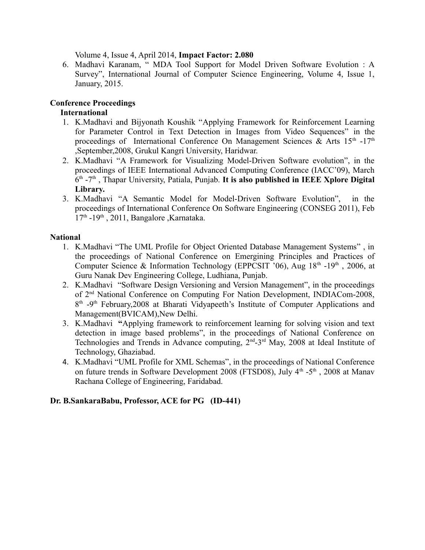Volume 4, Issue 4, April 2014, **Impact Factor: 2.080**

6. Madhavi Karanam, " MDA Tool Support for Model Driven Software Evolution : A Survey", International Journal of Computer Science Engineering, Volume 4, Issue 1, January, 2015.

## **Conference Proceedings**

### **International**

- 1. K.Madhavi and Bijyonath Koushik "Applying Framework for Reinforcement Learning for Parameter Control in Text Detection in Images from Video Sequences" in the proceedings of International Conference On Management Sciences & Arts  $15<sup>th</sup> - 17<sup>th</sup>$ ,September,2008, Grukul Kangri University, Haridwar.
- 2. K.Madhavi "A Framework for Visualizing Model-Driven Software evolution", in the proceedings of IEEE International Advanced Computing Conference (IACC'09), March 6 th -7th , Thapar University, Patiala, Punjab. **It is also published in IEEE Xplore Digital Library.**
- 3. K.Madhavi "A Semantic Model for Model-Driven Software Evolution", in the proceedings of International Conference On Software Engineering (CONSEG 2011), Feb  $17<sup>th</sup>$  -19<sup>th</sup>, 2011, Bangalore ,Karnataka.

#### **National**

- 1. K.Madhavi "The UML Profile for Object Oriented Database Management Systems" , in the proceedings of National Conference on Emergining Principles and Practices of Computer Science & Information Technology (EPPCSIT '06), Aug  $18<sup>th</sup>$  -19<sup>th</sup>, 2006, at Guru Nanak Dev Engineering College, Ludhiana, Punjab.
- 2. K.Madhavi "Software Design Versioning and Version Management", in the proceedings of 2<sup>nd</sup> National Conference on Computing For Nation Development, INDIACom-2008, 8<sup>th</sup> -9<sup>th</sup> February, 2008 at Bharati Vidyapeeth's Institute of Computer Applications and Management(BVICAM),New Delhi.
- 3. K.Madhavi **"**Applying framework to reinforcement learning for solving vision and text detection in image based problems", in the proceedings of National Conference on Technologies and Trends in Advance computing,  $2<sup>nd</sup> - 3<sup>rd</sup>$  May, 2008 at Ideal Institute of Technology, Ghaziabad.
- 4. K.Madhavi "UML Profile for XML Schemas", in the proceedings of National Conference on future trends in Software Development 2008 (FTSD08), July  $4<sup>th</sup> -5<sup>th</sup>$ , 2008 at Manav Rachana College of Engineering, Faridabad.

#### **Dr. B.SankaraBabu, Professor, ACE for PG (ID-441)**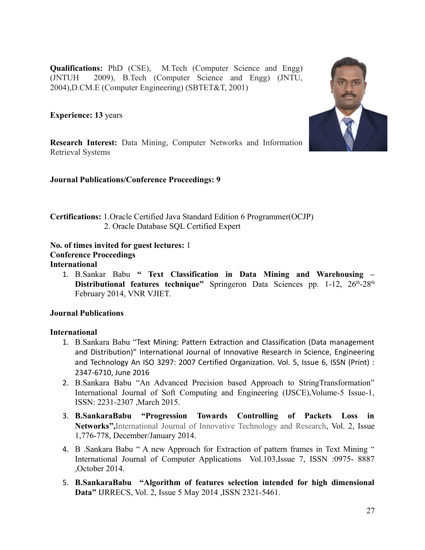**Qualifications:** PhD (CSE), M.Tech (Computer Science and Engg) (JNTUH 2009), B.Tech (Computer Science and Engg) (JNTU, 2004),D.CM.E (Computer Engineering) (SBTET&T, 2001)

**Experience: 13** years



**Research Interest:** Data Mining, Computer Networks and Information Retrieval Systems

**Journal Publications/Conference Proceedings: 9**

**Certifications:** 1.Oracle Certified Java Standard Edition 6 Programmer(OCJP) 2. Oracle Database SQL Certified Expert

**No. of times invited for guest lectures:** 1 **Conference Proceedings International**

1. B.Sankar Babu **" Text Classification in Data Mining and Warehousing – Distributional features technique"** Springeron Data Sciences pp. 1-12, 26<sup>th</sup>-28<sup>th</sup> February 2014, VNR VJIET.

#### **Journal Publications**

#### **International**

- 1. B.Sankara Babu "Text Mining: Pattern Extraction and Classification (Data management and Distribution)" International Journal of Innovative Research in Science, Engineering and Technology An ISO 3297: 2007 Certified Organization. Vol. 5, Issue 6, ISSN (Print) : 2347-6710, June 2016
- 2. B.Sankara Babu "An Advanced Precision based Approach to StringTransformation" International Journal of Soft Computing and Engineering (IJSCE),Volume-5 Issue-1, ISSN: 2231-2307 ,March 2015.
- 3. **B.SankaraBabu "Progression Towards Controlling of Packets Loss in Networks",**International Journal of Innovative Technology and Research, Vol. 2, Issue 1,776-778, December/January 2014.
- 4. B .Sankara Babu " A new Approach for Extraction of pattern frames in Text Mining " International Journal of Computer Applications Vol.103,Issue 7, ISSN :0975- 8887 ,October 2014.
- 5. **B.SankaraBabu "Algorithm of features selection intended for high dimensional Data"** IJRRECS, Vol. 2, Issue 5 May 2014 ,ISSN 2321-5461.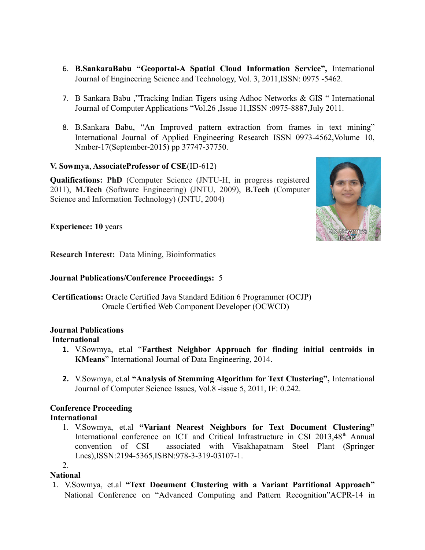- 6. **B.SankaraBabu "Geoportal-A Spatial Cloud Information Service",** International Journal of Engineering Science and Technology, Vol. 3, 2011,ISSN: 0975 -5462.
- 7. B Sankara Babu ,"Tracking Indian Tigers using Adhoc Networks & GIS " International Journal of Computer Applications "Vol.26 ,Issue 11,ISSN :0975-8887,July 2011.
- 8. B.Sankara Babu, "An Improved pattern extraction from frames in text mining" International Journal of Applied Engineering Research ISSN 0973-4562,Volume 10, Nmber-17(September-2015) pp 37747-37750.

#### **V. Sowmya**, **AssociateProfessor of CSE**(ID-612)

**Qualifications: PhD** (Computer Science (JNTU-H, in progress registered 2011), **M.Tech** (Software Engineering) (JNTU, 2009), **B.Tech** (Computer Science and Information Technology) (JNTU, 2004)



**Experience: 10** years

**Research Interest:** Data Mining, Bioinformatics

#### **Journal Publications/Conference Proceedings:** 5

 **Certifications:** Oracle Certified Java Standard Edition 6 Programmer (OCJP) Oracle Certified Web Component Developer (OCWCD)

#### **Journal Publications International**

- **1.** V.Sowmya, et.al "**Farthest Neighbor Approach for finding initial centroids in KMeans**" International Journal of Data Engineering, 2014.
- **2.** V.Sowmya, et.al **"Analysis of Stemming Algorithm for Text Clustering",** International Journal of Computer Science Issues, Vol.8 -issue 5, 2011, IF: 0.242.

#### **Conference Proceeding International**

1. V.Sowmya, et.al **"Variant Nearest Neighbors for Text Document Clustering"** International conference on ICT and Critical Infrastructure in CSI 2013,48<sup>th</sup> Annual convention of CSI associated with Visakhapatnam Steel Plant (Springer Lncs),ISSN:2194-5365,ISBN:978-3-319-03107-1.

2.

#### **National**

1. V.Sowmya, et.al **"Text Document Clustering with a Variant Partitional Approach"** National Conference on "Advanced Computing and Pattern Recognition"ACPR-14 in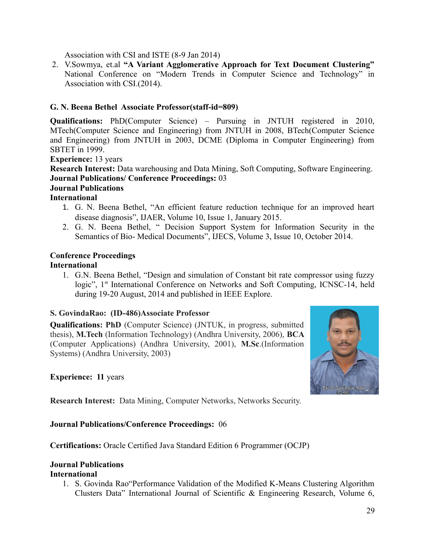Association with CSI and ISTE (8-9 Jan 2014)

2. V.Sowmya, et.al **"A Variant Agglomerative Approach for Text Document Clustering"** National Conference on "Modern Trends in Computer Science and Technology" in Association with CSI.(2014).

# **G. N. Beena Bethel Associate Professor(staff-id=809)**

**Qualifications:** PhD(Computer Science) – Pursuing in JNTUH registered in 2010, MTech(Computer Science and Engineering) from JNTUH in 2008, BTech(Computer Science and Engineering) from JNTUH in 2003, DCME (Diploma in Computer Engineering) from SBTET in 1999.

#### **Experience:** 13 years

**Research Interest:** Data warehousing and Data Mining, Soft Computing, Software Engineering. **Journal Publications/ Conference Proceedings:** 03

#### **Journal Publications**

#### **International**

- 1. G. N. Beena Bethel, "An efficient feature reduction technique for an improved heart disease diagnosis", IJAER, Volume 10, Issue 1, January 2015.
- 2. G. N. Beena Bethel, " Decision Support System for Information Security in the Semantics of Bio- Medical Documents", IJECS, Volume 3, Issue 10, October 2014.

#### **Conference Proceedings**

#### **International**

1. G.N. Beena Bethel, "Design and simulation of Constant bit rate compressor using fuzzy logic", 1<sup>st</sup> International Conference on Networks and Soft Computing, ICNSC-14, held during 19-20 August, 2014 and published in IEEE Explore.

#### **S. GovindaRao: (ID-486)Associate Professor**

**Qualifications: PhD** (Computer Science) (JNTUK, in progress, submitted thesis), **M.Tech** (Information Technology) (Andhra University, 2006), **BCA** (Computer Applications) (Andhra University, 2001), **M.Sc**.(Information Systems) (Andhra University, 2003)

#### **Experience: 11** years



**Research Interest:** Data Mining, Computer Networks, Networks Security.

#### **Journal Publications/Conference Proceedings:** 06

**Certifications:** Oracle Certified Java Standard Edition 6 Programmer (OCJP)

# **Journal Publications**

#### **International**

1. S. Govinda Rao"Performance Validation of the Modified K-Means Clustering Algorithm Clusters Data" International Journal of Scientific & Engineering Research, Volume 6,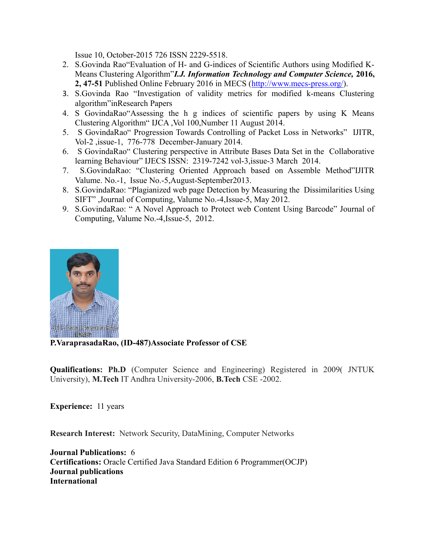Issue 10, October-2015 726 ISSN 2229-5518.

- 2. S.Govinda Rao"Evaluation of H- and G-indices of Scientific Authors using Modified K-Means Clustering Algorithm"*I.J. Information Technology and Computer Science,* **2016, 2, 47-51** Published Online February 2016 in MECS [\(http://www.mecs-press.org/\)](http://www.mecs-press.org/).
- 3. S.Govinda Rao "Investigation of validity metrics for modified k-means Clustering algorithm"inResearch Papers
- 4. S GovindaRao"Assessing the h g indices of scientific papers by using K Means Clustering Algorithm" IJCA ,Vol 100,Number 11 August 2014.
- 5. S GovindaRao" Progression Towards Controlling of Packet Loss in Networks" IJITR, Vol-2 ,issue-1, 776-778 December-January 2014.
- 6. S GovindaRao" Clustering perspective in Attribute Bases Data Set in the Collaborative learning Behaviour" IJECS ISSN: 2319-7242 vol-3,issue-3 March 2014.
- 7. S.GovindaRao: "Clustering Oriented Approach based on Assemble Method"IJITR Valume. No.-1, Issue No.-5,August-September2013.
- 8. S.GovindaRao: "Plagianized web page Detection by Measuring the Dissimilarities Using SIFT" ,Journal of Computing, Valume No.-4,Issue-5, May 2012.
- 9. S.GovindaRao: " A Novel Approach to Protect web Content Using Barcode" Journal of Computing, Valume No.-4,Issue-5, 2012.



#### **P.VaraprasadaRao, (ID-487)Associate Professor of CSE**

**Qualifications: Ph.D** (Computer Science and Engineering) Registered in 2009( JNTUK) University), **M.Tech** IT Andhra University-2006, **B.Tech** CSE -2002.

**Experience:** 11 years

**Research Interest:** Network Security, DataMining, Computer Networks

**Journal Publications:** 6 **Certifications:** Oracle Certified Java Standard Edition 6 Programmer(OCJP) **Journal publications International**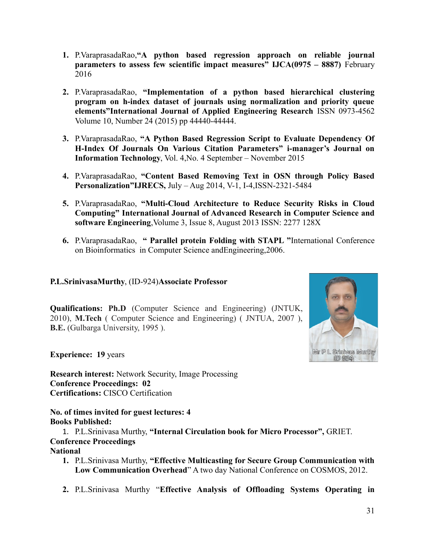- **1.** P.VaraprasadaRao,**"A python based regression approach on reliable journal parameters to assess few scientific impact measures" IJCA(0975 – 8887)** February 2016
- **2.** P.VaraprasadaRao, **"Implementation of a python based hierarchical clustering program on h-index dataset of journals using normalization and priority queue elements"International Journal of Applied Engineering Research** ISSN 0973-4562 Volume 10, Number 24 (2015) pp 44440-44444.
- **3.** P.VaraprasadaRao, **"A Python Based Regression Script to Evaluate Dependency Of H-Index Of Journals On Various Citation Parameters" i-manager's Journal on Information Technology**, Vol. 4,No. 4 September – November 2015
- **4.** P.VaraprasadaRao, **"Content Based Removing Text in OSN through Policy Based Personalization"IJRECS,** July – Aug 2014, V-1, I-4,ISSN-2321-5484
- **5.** P.VaraprasadaRao, **"Multi-Cloud Architecture to Reduce Security Risks in Cloud Computing" International Journal of Advanced Research in Computer Science and software Engineering**,Volume 3, Issue 8, August 2013 ISSN: 2277 128X
- **6.** P.VaraprasadaRao, **" Parallel protein Folding with STAPL "**International Conference on Bioinformatics in Computer Science andEngineering,2006.

#### **P.L.SrinivasaMurthy**, (ID-924)**Associate Professor**

**Qualifications: Ph.D** (Computer Science and Engineering) (JNTUK, 2010), **M.Tech** ( Computer Science and Engineering) ( JNTUA, 2007 ), **B.E.** (Gulbarga University, 1995 ).



**Experience: 19** years

**Research interest:** Network Security, Image Processing **Conference Proceedings: 02 Certifications:** CISCO Certification

**No. of times invited for guest lectures: 4 Books Published:**

1. P.L.Srinivasa Murthy, **"Internal Circulation book for Micro Processor",** GRIET. **Conference Proceedings**

## **National**

- **1.** P.L.Srinivasa Murthy, **"Effective Multicasting for Secure Group Communication with Low Communication Overhead**" A two day National Conference on COSMOS, 2012.
- **2.** P.L.Srinivasa Murthy "**Effective Analysis of Offloading Systems Operating in**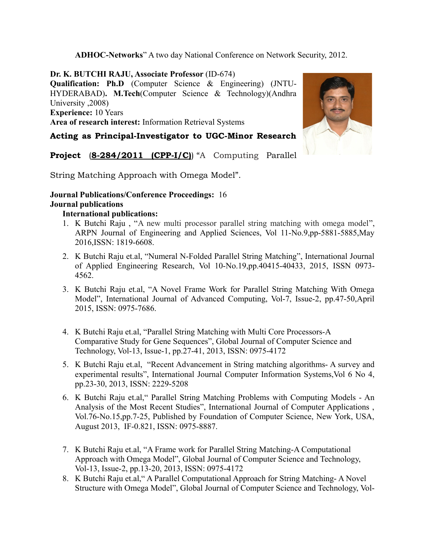**ADHOC-Networks**" A two day National Conference on Network Security, 2012.

**Dr. K. BUTCHI RAJU, Associate Professor** (ID-674) **Qualification: Ph.D** (Computer Science & Engineering) (JNTU-HYDERABAD)**. M.Tech**(Computer Science & Technology)(Andhra University ,2008) **Experience:** 10 Years **Area of research interest:** Information Retrieval Systems

# **Acting as Principal-Investigator to UGC-Minor Research**

**Project** (**8-284/2011 (CPP-I/C)**) "A Computing Parallel

String Matching Approach with Omega Model".

#### **Journal Publications/Conference Proceedings:** 16 **Journal publications**

#### **International publications:**

- 1. K Butchi Raju , "A new multi processor parallel string matching with omega model", ARPN Journal of Engineering and Applied Sciences, Vol 11-No.9,pp-5881-5885,May 2016,ISSN: 1819-6608.
- 2. K Butchi Raju et.al, "Numeral N-Folded Parallel String Matching", International Journal of Applied Engineering Research, Vol 10-No.19,pp.40415-40433, 2015, ISSN 0973- 4562.
- 3. K Butchi Raju et.al, "A Novel Frame Work for Parallel String Matching With Omega Model", International Journal of Advanced Computing, Vol-7, Issue-2, pp.47-50,April 2015, ISSN: 0975-7686.
- 4. K Butchi Raju et.al, "Parallel String Matching with Multi Core Processors-A Comparative Study for Gene Sequences", Global Journal of Computer Science and Technology, Vol-13, Issue-1, pp.27-41, 2013, ISSN: 0975-4172
- 5. K Butchi Raju et.al, "Recent Advancement in String matching algorithms- A survey and experimental results", International Journal Computer Information Systems,Vol 6 No 4, pp.23-30, 2013, ISSN: 2229-5208
- 6. K Butchi Raju et.al," Parallel String Matching Problems with Computing Models An Analysis of the Most Recent Studies", International Journal of Computer Applications , Vol.76-No.15,pp.7-25, Published by Foundation of Computer Science, New York, USA, August 2013, IF-0.821, ISSN: 0975-8887.
- 7. K Butchi Raju et.al, "A Frame work for Parallel String Matching-A Computational Approach with Omega Model", Global Journal of Computer Science and Technology, Vol-13, Issue-2, pp.13-20, 2013, ISSN: 0975-4172
- 8. K Butchi Raju et.al," A Parallel Computational Approach for String Matching- A Novel Structure with Omega Model", Global Journal of Computer Science and Technology, Vol-

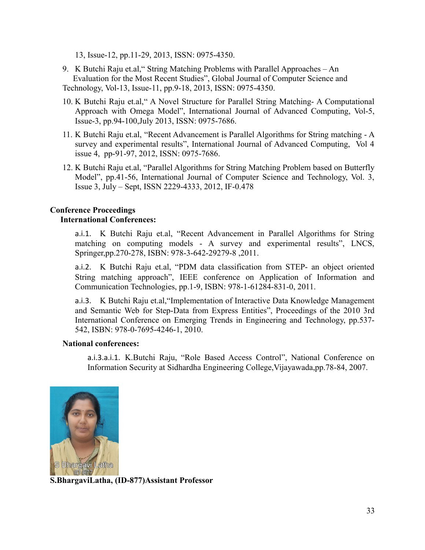13, Issue-12, pp.11-29, 2013, ISSN: 0975-4350.

- 9. K Butchi Raju et.al," String Matching Problems with Parallel Approaches An Evaluation for the Most Recent Studies", Global Journal of Computer Science and Technology, Vol-13, Issue-11, pp.9-18, 2013, ISSN: 0975-4350.
- 10. K Butchi Raju et.al," A Novel Structure for Parallel String Matching- A Computational Approach with Omega Model", International Journal of Advanced Computing, Vol-5, Issue-3, pp.94-100,July 2013, ISSN: 0975-7686.
- 11. K Butchi Raju et.al, "Recent Advancement is Parallel Algorithms for String matching A survey and experimental results", International Journal of Advanced Computing, Vol 4 issue 4, pp-91-97, 2012, ISSN: 0975-7686.
- 12. K Butchi Raju et.al, "Parallel Algorithms for String Matching Problem based on Butterfly Model", pp.41-56, International Journal of Computer Science and Technology, Vol. 3, Issue 3, July – Sept, ISSN 2229-4333, 2012, IF-0.478

#### **Conference Proceedings International Conferences:**

a.i.1. K Butchi Raju et.al, "Recent Advancement in Parallel Algorithms for String matching on computing models - A survey and experimental results", LNCS, Springer,pp.270-278, ISBN: 978-3-642-29279-8 ,2011.

a.i.2. K Butchi Raju et.al, "PDM data classification from STEP- an object oriented String matching approach", IEEE conference on Application of Information and Communication Technologies, pp.1-9, ISBN: 978-1-61284-831-0, 2011.

a.i.3. K Butchi Raju et.al,"Implementation of Interactive Data Knowledge Management and Semantic Web for Step-Data from Express Entities", Proceedings of the 2010 3rd International Conference on Emerging Trends in Engineering and Technology, pp.537- 542, ISBN: 978-0-7695-4246-1, 2010.

#### **National conferences:**

a.i.3.a.i.1. K.Butchi Raju, "Role Based Access Control", National Conference on Information Security at Sidhardha Engineering College,Vijayawada,pp.78-84, 2007.



**S.BhargaviLatha, (ID-877)Assistant Professor**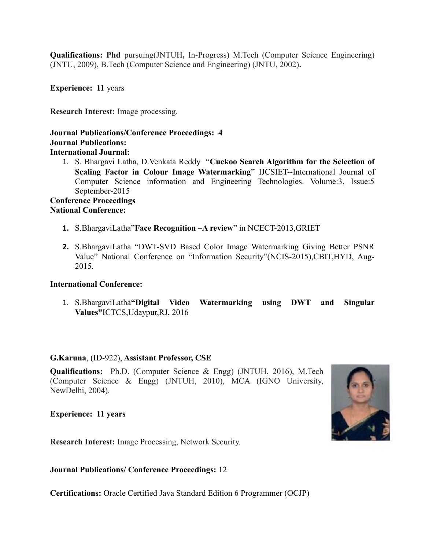**Qualifications: Phd** pursuing(JNTUH**,** In-Progress**)** M.Tech (Computer Science Engineering) (JNTU, 2009), B.Tech (Computer Science and Engineering) (JNTU, 2002)**.**

**Experience: 11** years

**Research Interest:** Image processing.

#### **Journal Publications/Conference Proceedings: 4 Journal Publications: International Journal:**

1. S. Bhargavi Latha, D.Venkata Reddy "**Cuckoo Search Algorithm for the Selection of Scaling Factor in Colour Image Watermarking**" IJCSIET--International Journal of Computer Science information and Engineering Technologies. Volume:3, Issue:5 September-2015

#### **Conference Proceedings National Conference:**

- **1.** S.BhargaviLatha"**Face Recognition –A review**" in NCECT-2013,GRIET
- **2.** S.BhargaviLatha "DWT-SVD Based Color Image Watermarking Giving Better PSNR Value" National Conference on "Information Security"(NCIS-2015),CBIT,HYD, Aug-2015.

#### **International Conference:**

1. S.BhargaviLatha**"Digital Video Watermarking using DWT and Singular Values"**ICTCS,Udaypur,RJ, 2016

#### **G.Karuna**, (ID-922), **Assistant Professor, CSE**

**Qualifications:** Ph.D. (Computer Science & Engg) (JNTUH, 2016), M.Tech (Computer Science & Engg) (JNTUH, 2010), MCA (IGNO University, NewDelhi, 2004).

**Experience: 11 years**

**Research Interest:** Image Processing, Network Security.

**Journal Publications/ Conference Proceedings:** 12

**Certifications:** Oracle Certified Java Standard Edition 6 Programmer (OCJP)

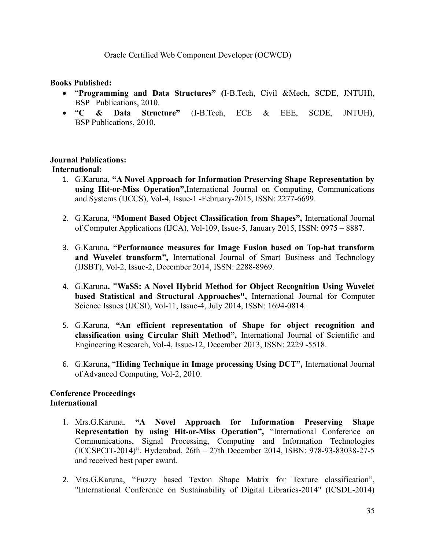#### Oracle Certified Web Component Developer (OCWCD)

#### **Books Published:**

- "**Programming and Data Structures" (**I-B.Tech, Civil &Mech, SCDE, JNTUH), BSP Publications, 2010.
- "**C & Data Structure"** (I-B.Tech, ECE & EEE, SCDE, JNTUH), BSP Publications, 2010.

#### **Journal Publications: International:**

- 1. G.Karuna, **"A Novel Approach for Information Preserving Shape Representation by using Hit-or-Miss Operation",**International Journal on Computing, Communications and Systems (IJCCS), Vol-4, Issue-1 -February-2015, ISSN: 2277-6699.
- 2. G.Karuna, **"Moment Based Object Classification from Shapes",** International Journal of Computer Applications (IJCA), Vol-109, Issue-5, January 2015, ISSN: 0975 – 8887.
- 3. G.Karuna, **"Performance measures for Image Fusion based on Top-hat transform and Wavelet transform",** International Journal of Smart Business and Technology (IJSBT), Vol-2, Issue-2, December 2014, ISSN: 2288-8969.
- 4. G.Karuna**, "WaSS: A Novel Hybrid Method for Object Recognition Using Wavelet based Statistical and Structural Approaches",** International Journal for Computer Science Issues (IJCSI), Vol-11, Issue-4, July 2014, ISSN: 1694-0814.
- 5. G.Karuna, **"An efficient representation of Shape for object recognition and classification using Circular Shift Method",** International Journal of Scientific and Engineering Research, Vol-4, Issue-12, December 2013, ISSN: 2229 -5518.
- 6. G.Karuna**,** "**Hiding Technique in Image processing Using DCT",** International Journal of Advanced Computing, Vol-2, 2010.

#### **Conference Proceedings International**

- 1. Mrs.G.Karuna, **"A Novel Approach for Information Preserving Shape Representation by using Hit-or-Miss Operation",** "International Conference on Communications, Signal Processing, Computing and Information Technologies (ICCSPCIT-2014)", Hyderabad, 26th – 27th December 2014, ISBN: 978-93-83038-27-5 and received best paper award.
- 2. Mrs.G.Karuna, "Fuzzy based Texton Shape Matrix for Texture classification", "International Conference on Sustainability of Digital Libraries-2014" (ICSDL-2014)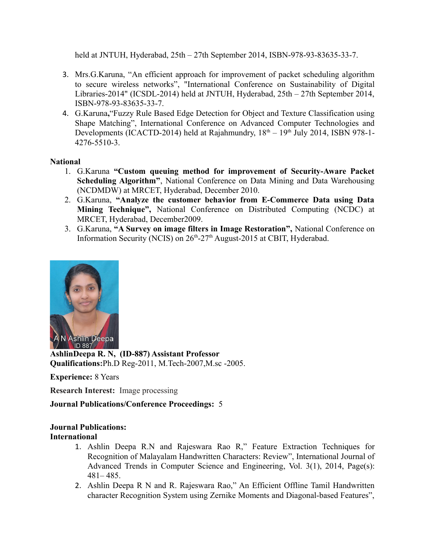held at JNTUH, Hyderabad, 25th – 27th September 2014, ISBN-978-93-83635-33-7.

- 3. Mrs.G.Karuna, "An efficient approach for improvement of packet scheduling algorithm to secure wireless networks", "International Conference on Sustainability of Digital Libraries-2014" (ICSDL-2014) held at JNTUH, Hyderabad, 25th – 27th September 2014, ISBN-978-93-83635-33-7.
- 4. G.Karuna**,**"Fuzzy Rule Based Edge Detection for Object and Texture Classification using Shape Matching", International Conference on Advanced Computer Technologies and Developments (ICACTD-2014) held at Rajahmundry,  $18<sup>th</sup> - 19<sup>th</sup>$  July 2014, ISBN 978-1-4276-5510-3.

#### **National**

- 1. G.Karuna **"Custom queuing method for improvement of Security-Aware Packet Scheduling Algorithm"**, National Conference on Data Mining and Data Warehousing (NCDMDW) at MRCET, Hyderabad, December 2010.
- 2. G.Karuna, **"Analyze the customer behavior from E-Commerce Data using Data Mining Technique",** National Conference on Distributed Computing (NCDC) at MRCET, Hyderabad, December2009.
- 3. G.Karuna, **"A Survey on image filters in Image Restoration",** National Conference on Information Security (NCIS) on  $26<sup>th</sup> - 27<sup>th</sup>$  August-2015 at CBIT, Hyderabad.



**AshlinDeepa R. N, (ID-887) Assistant Professor Qualifications:**Ph.D Reg-2011, M.Tech-2007,M.sc -2005.

**Experience:** 8 Years

**Research Interest:** Image processing

**Journal Publications/Conference Proceedings:** 5

#### **Journal Publications:**

#### **International**

- 1. Ashlin Deepa R.N and Rajeswara Rao R," Feature Extraction Techniques for Recognition of Malayalam Handwritten Characters: Review", International Journal of Advanced Trends in Computer Science and Engineering, Vol. 3(1), 2014, Page(s):  $481 - 485$ .
- 2. Ashlin Deepa R N and R. Rajeswara Rao," An Efficient Offline Tamil Handwritten character Recognition System using Zernike Moments and Diagonal-based Features",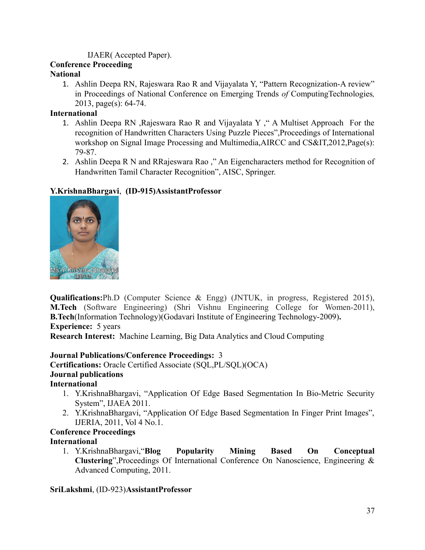#### IJAER( Accepted Paper).

# **Conference Proceeding**

# **National**

1. Ashlin Deepa RN, Rajeswara Rao R and Vijayalata Y, "Pattern Recognization-A review" in Proceedings of National Conference on Emerging Trends *of* ComputingTechnologies*,* 2013, page(s): 64-74.

# **International**

- 1. Ashlin Deepa RN ,Rajeswara Rao R and Vijayalata Y ," A Multiset Approach For the recognition of Handwritten Characters Using Puzzle Pieces",Proceedings of International workshop on Signal Image Processing and Multimedia,AIRCC and CS&IT,2012,Page(s): 79-87.
- 2. Ashlin Deepa R N and RRajeswara Rao ," An Eigencharacters method for Recognition of Handwritten Tamil Character Recognition", AISC, Springer.

# **Y.KrishnaBhargavi**, **(ID-915)AssistantProfessor**



**Qualifications:**Ph.D (Computer Science & Engg) (JNTUK, in progress, Registered 2015), **M.Tech** (Software Engineering) (Shri Vishnu Engineering College for Women-2011), **B.Tech**(Information Technology)(Godavari Institute of Engineering Technology-2009)**. Experience:** 5 years

**Research Interest:** Machine Learning, Big Data Analytics and Cloud Computing

# **Journal Publications/Conference Proceedings:** 3

**Certifications:** Oracle Certified Associate (SQL,PL/SQL)(OCA) **Journal publications**

# **International**

- 1. Y.KrishnaBhargavi, "Application Of Edge Based Segmentation In Bio-Metric Security System", IJAEA 2011.
- 2. Y.KrishnaBhargavi, "Application Of Edge Based Segmentation In Finger Print Images", IJERIA, 2011, Vol 4 No.1.

#### **Conference Proceedings International**

1. Y.KrishnaBhargavi,"**Blog Popularity Mining Based On Conceptual Clustering**",Proceedings Of International Conference On Nanoscience, Engineering & Advanced Computing, 2011.

# **SriLakshmi**, (ID-923)**AssistantProfessor**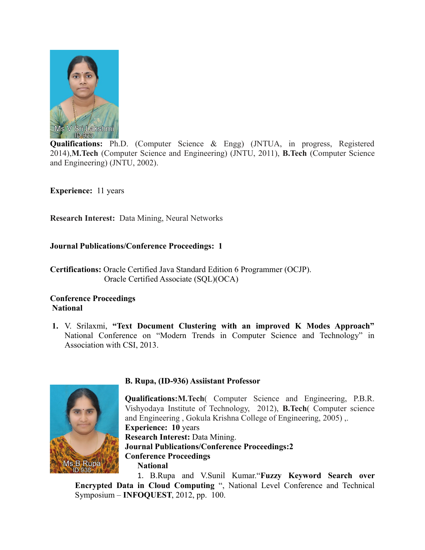

**Qualifications:** Ph.D. (Computer Science & Engg) (JNTUA, in progress, Registered 2014),**M.Tech** (Computer Science and Engineering) (JNTU, 2011), **B.Tech** (Computer Science and Engineering) (JNTU, 2002).

**Experience:** 11 years

**Research Interest:** Data Mining, Neural Networks

#### **Journal Publications/Conference Proceedings: 1**

**Certifications:** Oracle Certified Java Standard Edition 6 Programmer (OCJP). Oracle Certified Associate (SQL)(OCA)

#### **Conference Proceedings National**

**1.** V. Srilaxmi, **"Text Document Clustering with an improved K Modes Approach"** National Conference on "Modern Trends in Computer Science and Technology" in Association with CSI, 2013.



#### **B. Rupa, (ID-936) Assiistant Professor**

**Qualifications:M.Tech**( Computer Science and Engineering, P.B.R. Vishyodaya Institute of Technology, 2012), **B.Tech**( Computer science and Engineering , Gokula Krishna College of Engineering, 2005) ,. **Experience: 10** years **Research Interest:** Data Mining. **Journal Publications/Conference Proceedings:2 Conference Proceedings National** 1. B.Rupa and V.Sunil Kumar."**Fuzzy Keyword Search over**

**Encrypted Data in Cloud Computing** ", National Level Conference and Technical Symposium – **INFOQUEST**, 2012, pp. 100.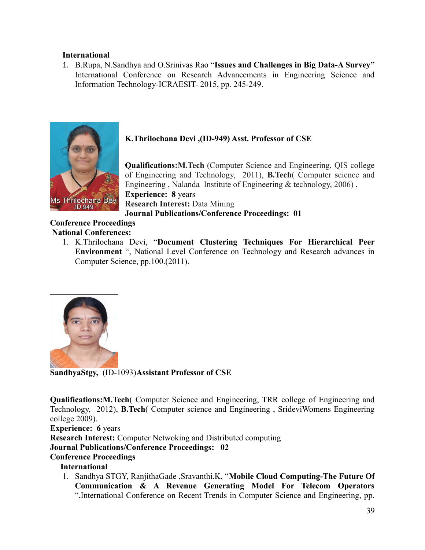#### **International**

1. B.Rupa, N.Sandhya and O.Srinivas Rao "**Issues and Challenges in Big Data-A Survey"** International Conference on Research Advancements in Engineering Science and Information Technology-ICRAESIT- 2015, pp. 245-249.



# **K.Thrilochana Devi ,(ID-949) Asst. Professor of CSE**

**Qualifications:M.Tech** (Computer Science and Engineering, QIS college of Engineering and Technology, 2011), **B.Tech**( Computer science and Engineering , Nalanda Institute of Engineering & technology, 2006) , **Experience: 8** years **Research Interest:** Data Mining **Journal Publications/Conference Proceedings: 01**

#### **Conference Proceedings National Conferences:**

1. K.Thrilochana Devi, "**Document Clustering Techniques For Hierarchical Peer Environment** ", National Level Conference on Technology and Research advances in Computer Science, pp.100.(2011).



**SandhyaStgy,** (ID-1093)**Assistant Professor of CSE** 

**Qualifications:M.Tech**( Computer Science and Engineering, TRR college of Engineering and Technology, 2012), **B.Tech**( Computer science and Engineering , SrideviWomens Engineering college 2009).

**Experience: 6** years **Research Interest:** Computer Netwoking and Distributed computing **Journal Publications/Conference Proceedings: 02 Conference Proceedings**

#### **International**

1. Sandhya STGY, RanjithaGade ,Sravanthi.K, "**Mobile Cloud Computing-The Future Of Communication & A Revenue Generating Model For Telecom Operators** ",International Conference on Recent Trends in Computer Science and Engineering, pp.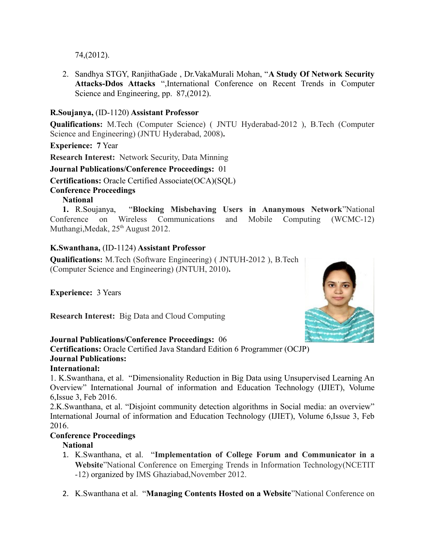74,(2012).

2. Sandhya STGY, RanjithaGade , Dr.VakaMurali Mohan, "**A Study Of Network Security Attacks-Ddos Attacks** ",International Conference on Recent Trends in Computer Science and Engineering, pp. 87,(2012).

# **R.Soujanya,** (ID-1120) **Assistant Professor**

**Qualifications:** M.Tech (Computer Science) ( JNTU Hyderabad-2012 ), B.Tech (Computer Science and Engineering) (JNTU Hyderabad, 2008)**.**

**Experience: 7** Year

**Research Interest:** Network Security, Data Minning

#### **Journal Publications/Conference Proceedings:** 01

**Certifications:** Oracle Certified Associate(OCA)(SQL)

#### **Conference Proceedings**

## **National**

**1.** R.Soujanya, "**Blocking Misbehaving Users in Ananymous Network**"National Conference on Wireless Communications and Mobile Computing (WCMC-12) Muthangi, Medak, 25<sup>th</sup> August 2012.

#### **K.Swanthana,** (ID-1124) **Assistant Professor**

**Qualifications:** M.Tech (Software Engineering) ( JNTUH-2012 ), B.Tech (Computer Science and Engineering) (JNTUH, 2010)**.**

**Experience:** 3 Years

**Research Interest:** Big Data and Cloud Computing

#### **Journal Publications/Conference Proceedings:** 06

**Certifications:** Oracle Certified Java Standard Edition 6 Programmer (OCJP) **Journal Publications:**

#### **International:**

1. K.Swanthana, et al. "Dimensionality Reduction in Big Data using Unsupervised Learning An Overview" International Journal of information and Education Technology (IJIET), Volume 6,Issue 3, Feb 2016.

2.K.Swanthana, et al. "Disjoint community detection algorithms in Social media: an overview" International Journal of information and Education Technology (IJIET), Volume 6,Issue 3, Feb 2016.

#### **Conference Proceedings**

#### **National**

- 1. K.Swanthana, et al. "**Implementation of College Forum and Communicator in a Website**"National Conference on Emerging Trends in Information Technology(NCETIT -12) organized by IMS Ghaziabad,November 2012.
- 2. K.Swanthana et al. "**Managing Contents Hosted on a Website**"National Conference on

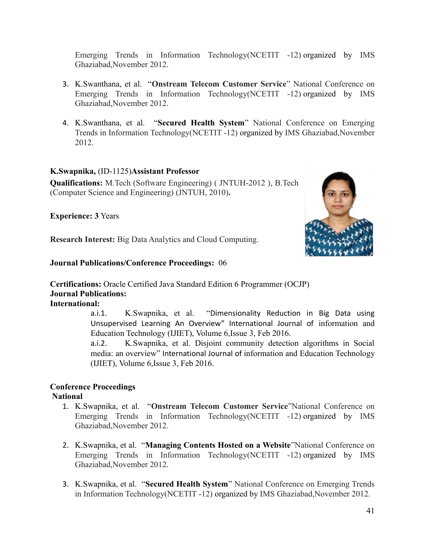Emerging Trends in Information Technology(NCETIT -12) organized by IMS Ghaziabad,November 2012.

- 3. K.Swanthana, et al. "**Onstream Telecom Customer Service**" National Conference on Emerging Trends in Information Technology(NCETIT -12) organized by IMS Ghaziabad,November 2012.
- 4. K.Swanthana, et al. "**Secured Health System**" National Conference on Emerging Trends in Information Technology(NCETIT -12) organized by IMS Ghaziabad,November 2012.

#### **K.Swapnika,** (ID-1125)**Assistant Professor**

**Qualifications:** M.Tech (Software Engineering) ( JNTUH-2012 ), B.Tech (Computer Science and Engineering) (JNTUH, 2010)**.**

**Experience: 3** Years

**Research Interest:** Big Data Analytics and Cloud Computing.

#### **Journal Publications/Conference Proceedings:** 06

**Certifications:** Oracle Certified Java Standard Edition 6 Programmer (OCJP) **Journal Publications:**

**International:**

a.i.1. K.Swapnika, et al. "Dimensionality Reduction in Big Data using Unsupervised Learning An Overview" International Journal of information and Education Technology (IJIET), Volume 6,Issue 3, Feb 2016.

a.i.2. K.Swapnika, et al. Disjoint community detection algorithms in Social media: an overview" International Journal of information and Education Technology (IJIET), Volume 6,Issue 3, Feb 2016.

# **Conference Proceedings**

#### **National**

- 1. K.Swapnika, et al. "**Onstream Telecom Customer Service**"National Conference on Emerging Trends in Information Technology(NCETIT -12) organized by IMS Ghaziabad,November 2012.
- 2. K.Swapnika, et al. "**Managing Contents Hosted on a Website**"National Conference on Emerging Trends in Information Technology(NCETIT -12) organized by IMS Ghaziabad,November 2012.
- 3. K.Swapnika, et al. "**Secured Health System**" National Conference on Emerging Trends in Information Technology(NCETIT -12) organized by IMS Ghaziabad,November 2012.

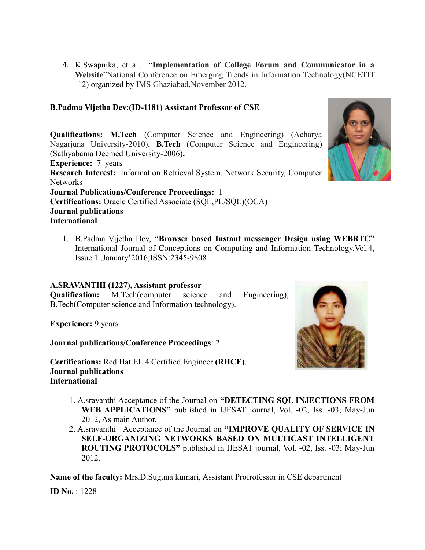4. K.Swapnika, et al. "**Implementation of College Forum and Communicator in a Website**"National Conference on Emerging Trends in Information Technology(NCETIT -12) organized by IMS Ghaziabad,November 2012.

### **B.Padma Vijetha Dev**:**(ID-1181) Assistant Professor of CSE**

**Qualifications: M.Tech** (Computer Science and Engineering) (Acharya Nagarjuna University-2010), **B.Tech** (Computer Science and Engineering) (Sathyabama Deemed University-2006)**.**

**Experience:** 7 years **Research Interest:** Information Retrieval System, Network Security, Computer Networks **Journal Publications/Conference Proceedings:** 1 **Certifications:** Oracle Certified Associate (SQL,PL/SQL)(OCA) **Journal publications International** 

1. B.Padma Vijetha Dev, **"Browser based Instant messenger Design using WEBRTC"** International Journal of Conceptions on Computing and Information Technology.Vol.4, Issue.1 ,January'2016;ISSN:2345-9808

#### **A.SRAVANTHI (1227), Assistant professor**

**Qualification:** M.Tech(computer science and Engineering), B.Tech(Computer science and Information technology).

**Experience:** 9 years

**Journal publications/Conference Proceedings**: 2

**Certifications:** Red Hat EL 4 Certified Engineer **(RHCE)**. **Journal publications International**

- 1. A.sravanthi Acceptance of the Journal on **"DETECTING SQL INJECTIONS FROM WEB APPLICATIONS"** published in IJESAT journal, Vol. -02, Iss. -03; May-Jun 2012, As main Author.
- 2. A.sravanthi Acceptance of the Journal on **"IMPROVE QUALITY OF SERVICE IN SELF-ORGANIZING NETWORKS BASED ON MULTICAST INTELLIGENT ROUTING PROTOCOLS"** published in IJESAT journal, Vol. -02, Iss. -03; May-Jun 2012.

**Name of the faculty:** Mrs.D.Suguna kumari, Assistant Profrofessor in CSE department

**ID No.** : 1228



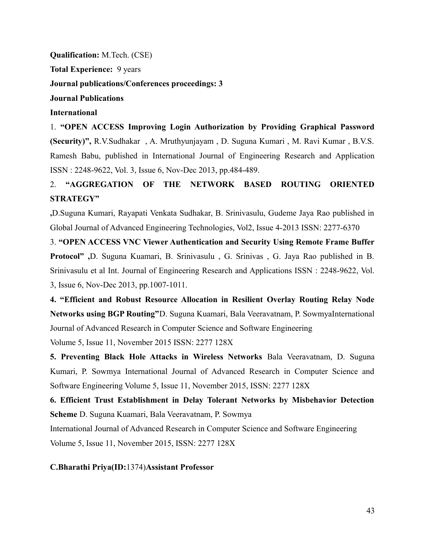**Qualification:** M.Tech. (CSE) **Total Experience:** 9 years **Journal publications/Conferences proceedings: 3 Journal Publications International** 

1. **"OPEN ACCESS Improving Login Authorization by Providing Graphical Password (Security)",** R.V.Sudhakar , A. Mruthyunjayam , D. Suguna Kumari , M. Ravi Kumar , B.V.S. Ramesh Babu, published in International Journal of Engineering Research and Application ISSN : 2248-9622, Vol. 3, Issue 6, Nov-Dec 2013, pp.484-489.

# 2. **"AGGREGATION OF THE NETWORK BASED ROUTING ORIENTED STRATEGY"**

**,**D.Suguna Kumari, Rayapati Venkata Sudhakar, B. Srinivasulu, Gudeme Jaya Rao published in Global Journal of Advanced Engineering Technologies, Vol2, Issue 4-2013 ISSN: 2277-6370

3. **"OPEN ACCESS VNC Viewer Authentication and Security Using Remote Frame Buffer Protocol" ,**D. Suguna Kuamari, B. Srinivasulu , G. Srinivas , G. Jaya Rao published in B. Srinivasulu et al Int. Journal of Engineering Research and Applications ISSN : 2248-9622, Vol. 3, Issue 6, Nov-Dec 2013, pp.1007-1011.

**4. "Efficient and Robust Resource Allocation in Resilient Overlay Routing Relay Node Networks using BGP Routing"**D. Suguna Kuamari, Bala Veeravatnam, P. SowmyaInternational Journal of Advanced Research in Computer Science and Software Engineering

Volume 5, Issue 11, November 2015 ISSN: 2277 128X

**5. Preventing Black Hole Attacks in Wireless Networks** Bala Veeravatnam, D. Suguna Kumari, P. Sowmya International Journal of Advanced Research in Computer Science and Software Engineering Volume 5, Issue 11, November 2015, ISSN: 2277 128X

**6. Efficient Trust Establishment in Delay Tolerant Networks by Misbehavior Detection Scheme** D. Suguna Kuamari, Bala Veeravatnam, P. Sowmya

International Journal of Advanced Research in Computer Science and Software Engineering Volume 5, Issue 11, November 2015, ISSN: 2277 128X

#### **C.Bharathi Priya(ID:**1374)**Assistant Professor**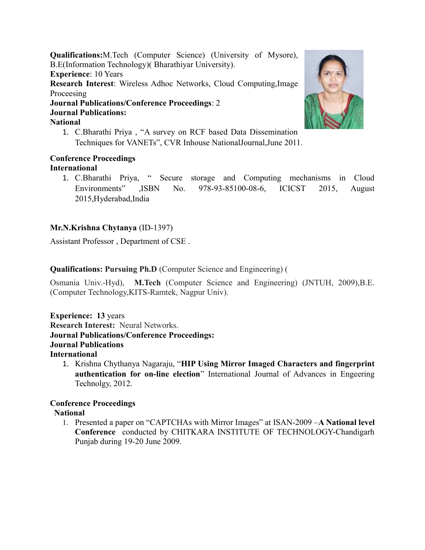**Qualifications:**M.Tech (Computer Science) (University of Mysore), B.E(Information Technology)( Bharathiyar University). **Experience**: 10 Years **Research Interest**: Wireless Adhoc Networks, Cloud Computing,Image Proceesing **Journal Publications/Conference Proceedings**: 2 **Journal Publications:**

### **National**

1. C.Bharathi Priya , "A survey on RCF based Data Dissemination Techniques for VANETs", CVR Inhouse NationalJournal,June 2011.

#### **Conference Proceedings International**

1. C.Bharathi Priya, " Secure storage and Computing mechanisms in Cloud Environments" ,ISBN No. 978-93-85100-08-6, ICICST 2015, August 2015,Hyderabad,India

# **Mr.N.Krishna Chytanya** (ID-1397)

Assistant Professor , Department of CSE .

## **Qualifications: Pursuing Ph.D** (Computer Science and Engineering) (

Osmania Univ.-Hyd), **M.Tech** (Computer Science and Engineering) (JNTUH, 2009),B.E. (Computer Technology,KITS-Ramtek, Nagpur Univ).

**Experience: 13** years **Research Interest:** Neural Networks. **Journal Publications/Conference Proceedings: Journal Publications International**

1. Krishna Chythanya Nagaraju, "**HIP Using Mirror Imaged Characters and fingerprint authentication for on-line election**" International Journal of Advances in Engeering Technolgy, 2012.

# **Conference Proceedings**

#### **National**

1. Presented a paper on "CAPTCHAs with Mirror Images" at ISAN-2009 –**A National level Conference** conducted by CHITKARA INSTITUTE OF TECHNOLOGY-Chandigarh Punjab during 19-20 June 2009.

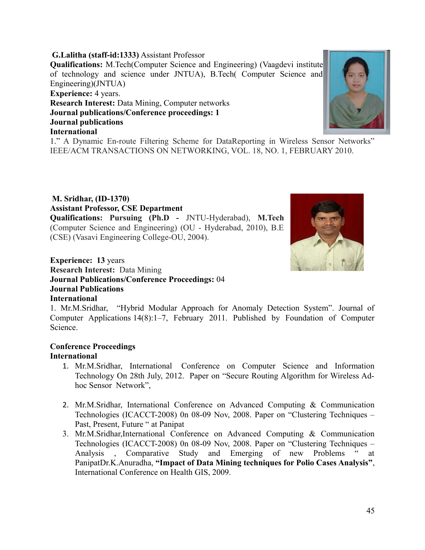**G.Lalitha (staff-id:1333)** Assistant Professor **Qualifications:** M.Tech(Computer Science and Engineering) (Vaagdevi institute of technology and science under JNTUA), B.Tech( Computer Science and Engineering)(JNTUA) **Experience:** 4 years. **Research Interest:** Data Mining, Computer networks **Journal publications/Conference proceedings: 1 Journal publications International**

1." A Dynamic En-route Filtering Scheme for DataReporting in Wireless Sensor Networks" IEEE/ACM TRANSACTIONS ON NETWORKING, VOL. 18, NO. 1, FEBRUARY 2010.

#### **Experience: 13** years **Research Interest:** Data Mining **Journal Publications/Conference Proceedings:** 04 **Journal Publications International**

(CSE) (Vasavi Engineering College-OU, 2004).

1. Mr.M.Sridhar, "Hybrid Modular Approach for Anomaly Detection System". Journal of Computer Applications 14(8):1–7, February 2011. Published by Foundation of Computer Science.

#### **Conference Proceedings International**

 **M. Sridhar, (ID-1370)** 

**Assistant Professor, CSE Department**

- 1. Mr.M.Sridhar, International Conference on Computer Science and Information Technology On 28th July, 2012. Paper on "Secure Routing Algorithm for Wireless Adhoc Sensor Network",
- 2. Mr.M.Sridhar, International Conference on Advanced Computing & Communication Technologies (ICACCT-2008) 0n 08-09 Nov, 2008. Paper on "Clustering Techniques – Past, Present, Future " at Panipat
- 3. Mr.M.Sridhar,International Conference on Advanced Computing & Communication Technologies (ICACCT-2008) 0n 08-09 Nov, 2008. Paper on "Clustering Techniques – Analysis , Comparative Study and Emerging of new Problems " at PanipatDr.K.Anuradha, **"Impact of Data Mining techniques for Polio Cases Analysis"**, International Conference on Health GIS, 2009.



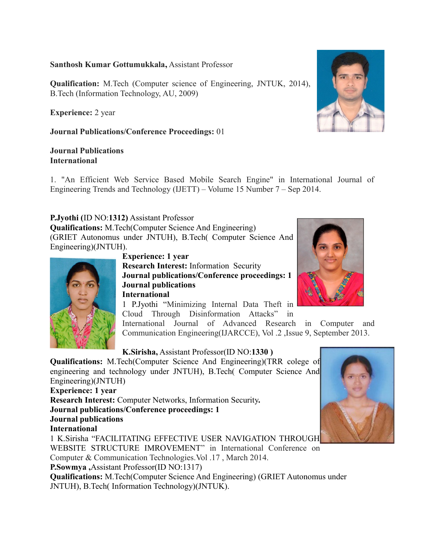#### **Santhosh Kumar Gottumukkala,** Assistant Professor

**Qualification:** M.Tech (Computer science of Engineering, JNTUK, 2014), B.Tech (Information Technology, AU, 2009)

**Experience:** 2 year

**Journal Publications/Conference Proceedings:** 01

#### **Journal Publications International**

1. "An Efficient Web Service Based Mobile Search Engine" in International Journal of Engineering Trends and Technology (IJETT) – Volume 15 Number 7 – Sep 2014.

# **P.Jyothi (**ID NO:**1312)** Assistant Professor

**Qualifications:** M.Tech(Computer Science And Engineering) (GRIET Autonomus under JNTUH), B.Tech( Computer Science And Engineering)(JNTUH).



**Experience: 1 year**

**Research Interest:** Information Security **Journal publications/Conference proceedings: 1 Journal publications International**

1 P.Jyothi "Minimizing Internal Data Theft in Cloud Through Disinformation Attacks" in

International Journal of Advanced Research in Computer and Communication Engineering(IJARCCE), Vol .2 ,Issue 9, September 2013.

#### **K.Sirisha,** Assistant Professor(ID NO:**1330 )**

**Qualifications:** M.Tech(Computer Science And Engineering)(TRR colege of engineering and technology under JNTUH), B.Tech( Computer Science And Engineering)(JNTUH) **Experience: 1 year Research Interest:** Computer Networks, Information Security**. Journal publications/Conference proceedings: 1 Journal publications International** 1 K.Sirisha "FACILITATING EFFECTIVE USER NAVIGATION THROUGH WEBSITE STRUCTURE IMROVEMENT" in International Conference on Computer & Communication Technologies.Vol .17 , March 2014.

**P.Sowmya ,**Assistant Professor(ID NO:1317)

**Qualifications:** M.Tech(Computer Science And Engineering) (GRIET Autonomus under JNTUH), B.Tech( Information Technology)(JNTUK).



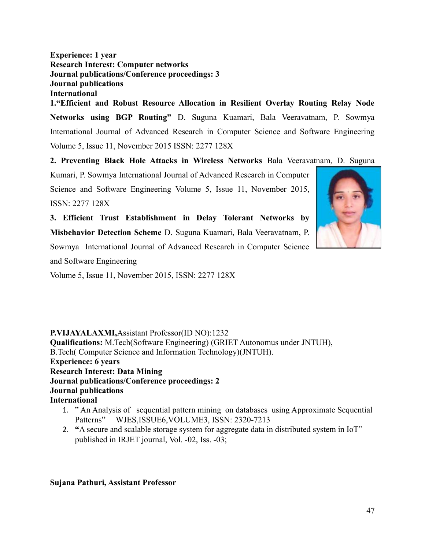**Experience: 1 year Research Interest: Computer networks Journal publications/Conference proceedings: 3 Journal publications International**

**1."Efficient and Robust Resource Allocation in Resilient Overlay Routing Relay Node Networks using BGP Routing"** D. Suguna Kuamari, Bala Veeravatnam, P. Sowmya International Journal of Advanced Research in Computer Science and Software Engineering Volume 5, Issue 11, November 2015 ISSN: 2277 128X

**2. Preventing Black Hole Attacks in Wireless Networks** Bala Veeravatnam, D. Suguna

Kumari, P. Sowmya International Journal of Advanced Research in Computer Science and Software Engineering Volume 5, Issue 11, November 2015, ISSN: 2277 128X

**3. Efficient Trust Establishment in Delay Tolerant Networks by Misbehavior Detection Scheme** D. Suguna Kuamari, Bala Veeravatnam, P. Sowmya International Journal of Advanced Research in Computer Science

and Software Engineering

Volume 5, Issue 11, November 2015, ISSN: 2277 128X

**P.VIJAYALAXMI,**Assistant Professor(ID NO):1232 **Qualifications:** M.Tech(Software Engineering) (GRIET Autonomus under JNTUH), B.Tech( Computer Science and Information Technology)(JNTUH). **Experience: 6 years Research Interest: Data Mining Journal publications/Conference proceedings: 2 Journal publications International**

- 1. " An Analysis of sequential pattern mining on databases using Approximate Sequential Patterns" WJES,ISSUE6,VOLUME3, ISSN: 2320-7213
- 2. **"**A secure and scalable storage system for aggregate data in distributed system in IoT" published in IRJET journal, Vol. -02, Iss. -03;

#### **Sujana Pathuri, Assistant Professor**